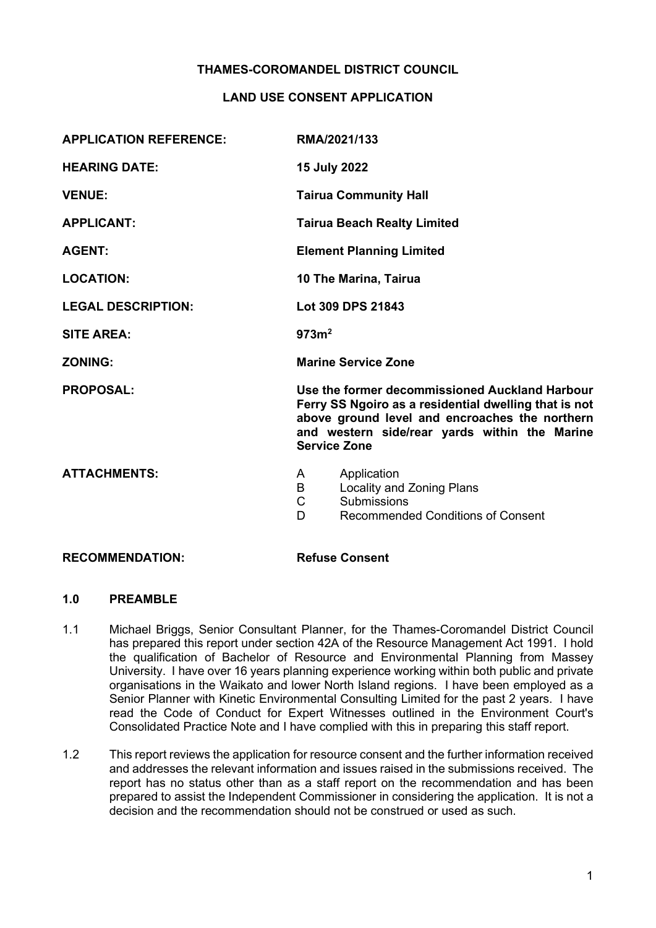# THAMES-COROMANDEL DISTRICT COUNCIL

# LAND USE CONSENT APPLICATION

| <b>APPLICATION REFERENCE:</b> | RMA/2021/133                                                                                                                                                                                                                      |  |
|-------------------------------|-----------------------------------------------------------------------------------------------------------------------------------------------------------------------------------------------------------------------------------|--|
| <b>HEARING DATE:</b>          | 15 July 2022                                                                                                                                                                                                                      |  |
| <b>VENUE:</b>                 | <b>Tairua Community Hall</b>                                                                                                                                                                                                      |  |
| <b>APPLICANT:</b>             | <b>Tairua Beach Realty Limited</b>                                                                                                                                                                                                |  |
| <b>AGENT:</b>                 | <b>Element Planning Limited</b>                                                                                                                                                                                                   |  |
| <b>LOCATION:</b>              | 10 The Marina, Tairua                                                                                                                                                                                                             |  |
| <b>LEGAL DESCRIPTION:</b>     | Lot 309 DPS 21843                                                                                                                                                                                                                 |  |
| <b>SITE AREA:</b>             | 973m <sup>2</sup>                                                                                                                                                                                                                 |  |
| <b>ZONING:</b>                | <b>Marine Service Zone</b>                                                                                                                                                                                                        |  |
| <b>PROPOSAL:</b>              | Use the former decommissioned Auckland Harbour<br>Ferry SS Ngoiro as a residential dwelling that is not<br>above ground level and encroaches the northern<br>and western side/rear yards within the Marine<br><b>Service Zone</b> |  |
| <b>ATTACHMENTS:</b>           | Application<br>A<br>B<br>Locality and Zoning Plans<br>$\mathsf{C}$<br>Submissions<br><b>Recommended Conditions of Consent</b><br>D                                                                                                |  |

#### RECOMMENDATION: Refuse Consent

# 1.0 PREAMBLE

- 1.1 Michael Briggs, Senior Consultant Planner, for the Thames-Coromandel District Council has prepared this report under section 42A of the Resource Management Act 1991. I hold the qualification of Bachelor of Resource and Environmental Planning from Massey University. I have over 16 years planning experience working within both public and private organisations in the Waikato and lower North Island regions. I have been employed as a Senior Planner with Kinetic Environmental Consulting Limited for the past 2 years. I have read the Code of Conduct for Expert Witnesses outlined in the Environment Court's Consolidated Practice Note and I have complied with this in preparing this staff report.
- 1.2 This report reviews the application for resource consent and the further information received and addresses the relevant information and issues raised in the submissions received. The report has no status other than as a staff report on the recommendation and has been prepared to assist the Independent Commissioner in considering the application. It is not a decision and the recommendation should not be construed or used as such.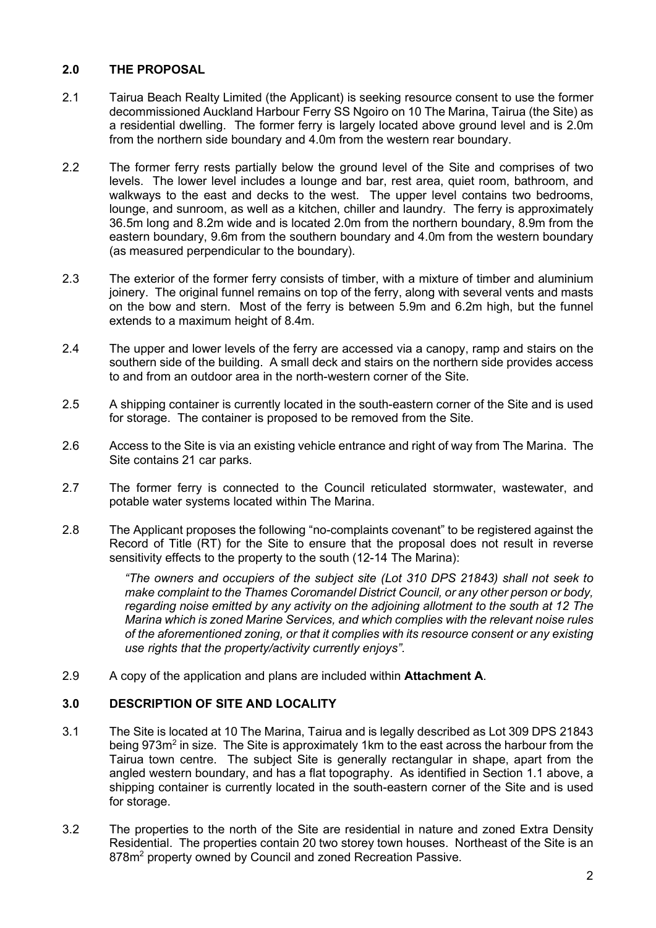# 2.0 THE PROPOSAL

- 2.1 Tairua Beach Realty Limited (the Applicant) is seeking resource consent to use the former decommissioned Auckland Harbour Ferry SS Ngoiro on 10 The Marina, Tairua (the Site) as a residential dwelling. The former ferry is largely located above ground level and is 2.0m from the northern side boundary and 4.0m from the western rear boundary.
- 2.2 The former ferry rests partially below the ground level of the Site and comprises of two levels. The lower level includes a lounge and bar, rest area, quiet room, bathroom, and walkways to the east and decks to the west. The upper level contains two bedrooms, lounge, and sunroom, as well as a kitchen, chiller and laundry. The ferry is approximately 36.5m long and 8.2m wide and is located 2.0m from the northern boundary, 8.9m from the eastern boundary, 9.6m from the southern boundary and 4.0m from the western boundary (as measured perpendicular to the boundary).
- 2.3 The exterior of the former ferry consists of timber, with a mixture of timber and aluminium joinery. The original funnel remains on top of the ferry, along with several vents and masts on the bow and stern. Most of the ferry is between 5.9m and 6.2m high, but the funnel extends to a maximum height of 8.4m.
- 2.4 The upper and lower levels of the ferry are accessed via a canopy, ramp and stairs on the southern side of the building. A small deck and stairs on the northern side provides access to and from an outdoor area in the north-western corner of the Site.
- 2.5 A shipping container is currently located in the south-eastern corner of the Site and is used for storage. The container is proposed to be removed from the Site.
- 2.6 Access to the Site is via an existing vehicle entrance and right of way from The Marina. The Site contains 21 car parks.
- 2.7 The former ferry is connected to the Council reticulated stormwater, wastewater, and potable water systems located within The Marina.
- 2.8 The Applicant proposes the following "no-complaints covenant" to be registered against the Record of Title (RT) for the Site to ensure that the proposal does not result in reverse sensitivity effects to the property to the south (12-14 The Marina):

"The owners and occupiers of the subject site (Lot 310 DPS 21843) shall not seek to make complaint to the Thames Coromandel District Council, or any other person or body, regarding noise emitted by any activity on the adjoining allotment to the south at 12 The Marina which is zoned Marine Services, and which complies with the relevant noise rules of the aforementioned zoning, or that it complies with its resource consent or any existing use rights that the property/activity currently enjoys".

2.9 A copy of the application and plans are included within **Attachment A**.

# 3.0 DESCRIPTION OF SITE AND LOCALITY

- 3.1 The Site is located at 10 The Marina, Tairua and is legally described as Lot 309 DPS 21843 being 973m<sup>2</sup> in size. The Site is approximately 1km to the east across the harbour from the Tairua town centre. The subject Site is generally rectangular in shape, apart from the angled western boundary, and has a flat topography. As identified in Section 1.1 above, a shipping container is currently located in the south-eastern corner of the Site and is used for storage.
- 3.2 The properties to the north of the Site are residential in nature and zoned Extra Density Residential. The properties contain 20 two storey town houses. Northeast of the Site is an 878m<sup>2</sup> property owned by Council and zoned Recreation Passive.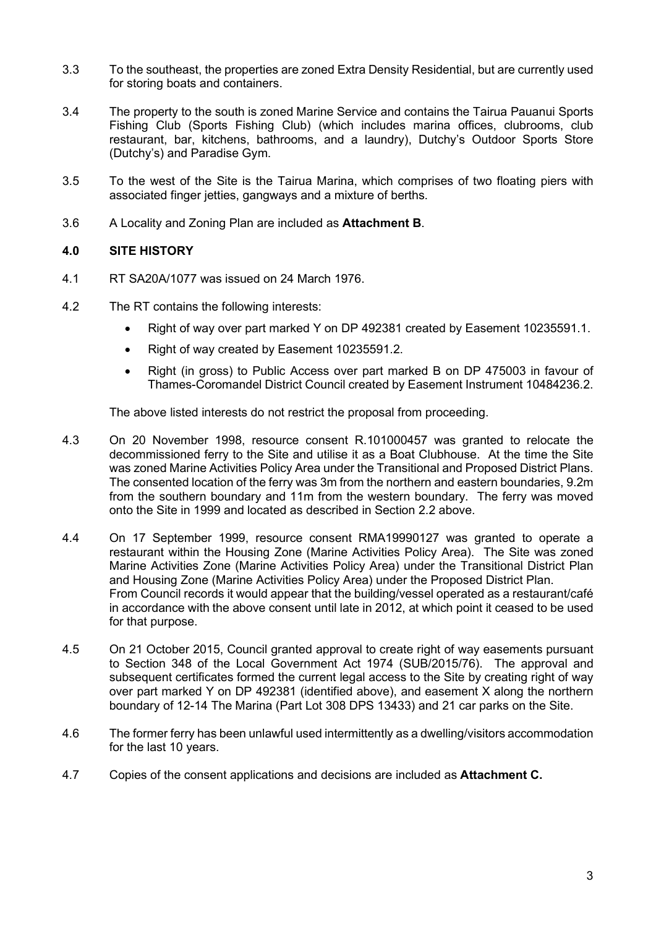- 3.3 To the southeast, the properties are zoned Extra Density Residential, but are currently used for storing boats and containers.
- 3.4 The property to the south is zoned Marine Service and contains the Tairua Pauanui Sports Fishing Club (Sports Fishing Club) (which includes marina offices, clubrooms, club restaurant, bar, kitchens, bathrooms, and a laundry), Dutchy's Outdoor Sports Store (Dutchy's) and Paradise Gym.
- 3.5 To the west of the Site is the Tairua Marina, which comprises of two floating piers with associated finger jetties, gangways and a mixture of berths.
- 3.6 A Locality and Zoning Plan are included as Attachment B.

# 4.0 SITE HISTORY

- 4.1 RT SA20A/1077 was issued on 24 March 1976.
- 4.2 The RT contains the following interests:
	- Right of way over part marked Y on DP 492381 created by Easement 10235591.1.
	- Right of way created by Easement 10235591.2.
	- Right (in gross) to Public Access over part marked B on DP 475003 in favour of Thames-Coromandel District Council created by Easement Instrument 10484236.2.

The above listed interests do not restrict the proposal from proceeding.

- 4.3 On 20 November 1998, resource consent R.101000457 was granted to relocate the decommissioned ferry to the Site and utilise it as a Boat Clubhouse. At the time the Site was zoned Marine Activities Policy Area under the Transitional and Proposed District Plans. The consented location of the ferry was 3m from the northern and eastern boundaries, 9.2m from the southern boundary and 11m from the western boundary. The ferry was moved onto the Site in 1999 and located as described in Section 2.2 above.
- 4.4 On 17 September 1999, resource consent RMA19990127 was granted to operate a restaurant within the Housing Zone (Marine Activities Policy Area). The Site was zoned Marine Activities Zone (Marine Activities Policy Area) under the Transitional District Plan and Housing Zone (Marine Activities Policy Area) under the Proposed District Plan. From Council records it would appear that the building/vessel operated as a restaurant/café in accordance with the above consent until late in 2012, at which point it ceased to be used for that purpose.
- 4.5 On 21 October 2015, Council granted approval to create right of way easements pursuant to Section 348 of the Local Government Act 1974 (SUB/2015/76). The approval and subsequent certificates formed the current legal access to the Site by creating right of way over part marked Y on DP 492381 (identified above), and easement X along the northern boundary of 12-14 The Marina (Part Lot 308 DPS 13433) and 21 car parks on the Site.
- 4.6 The former ferry has been unlawful used intermittently as a dwelling/visitors accommodation for the last 10 years.
- 4.7 Copies of the consent applications and decisions are included as Attachment C.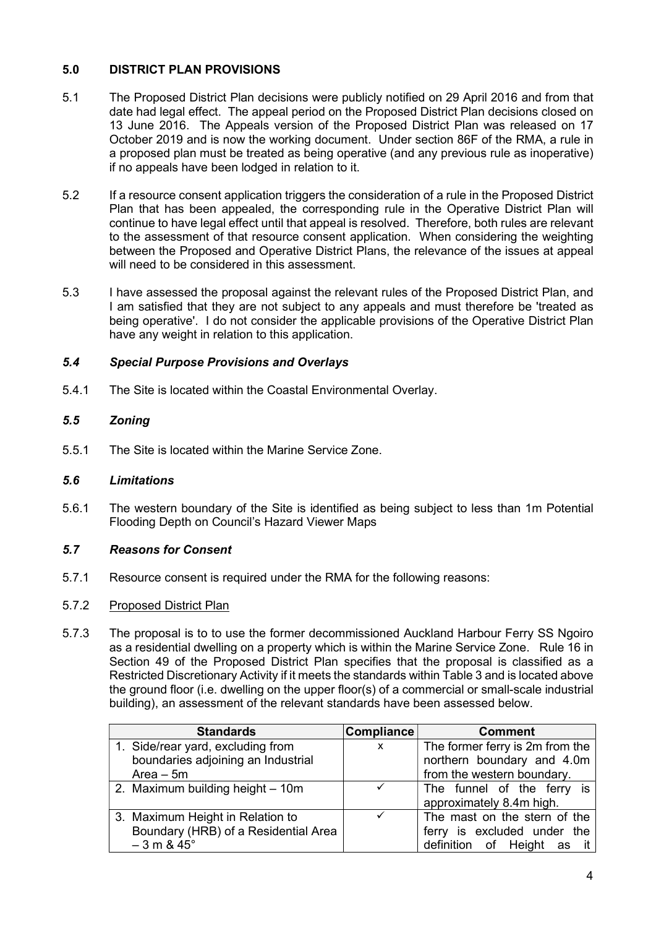# 5.0 DISTRICT PLAN PROVISIONS

- 5.1 The Proposed District Plan decisions were publicly notified on 29 April 2016 and from that date had legal effect. The appeal period on the Proposed District Plan decisions closed on 13 June 2016. The Appeals version of the Proposed District Plan was released on 17 October 2019 and is now the working document. Under section 86F of the RMA, a rule in a proposed plan must be treated as being operative (and any previous rule as inoperative) if no appeals have been lodged in relation to it.
- 5.2 If a resource consent application triggers the consideration of a rule in the Proposed District Plan that has been appealed, the corresponding rule in the Operative District Plan will continue to have legal effect until that appeal is resolved. Therefore, both rules are relevant to the assessment of that resource consent application. When considering the weighting between the Proposed and Operative District Plans, the relevance of the issues at appeal will need to be considered in this assessment.
- 5.3 I have assessed the proposal against the relevant rules of the Proposed District Plan, and I am satisfied that they are not subject to any appeals and must therefore be 'treated as being operative'. I do not consider the applicable provisions of the Operative District Plan have any weight in relation to this application.

# 5.4 Special Purpose Provisions and Overlays

5.4.1 The Site is located within the Coastal Environmental Overlay.

# 5.5 Zoning

5.5.1 The Site is located within the Marine Service Zone.

# 5.6 Limitations

5.6.1 The western boundary of the Site is identified as being subject to less than 1m Potential Flooding Depth on Council's Hazard Viewer Maps

# 5.7 Reasons for Consent

5.7.1 Resource consent is required under the RMA for the following reasons:

# 5.7.2 Proposed District Plan

5.7.3 The proposal is to to use the former decommissioned Auckland Harbour Ferry SS Ngoiro as a residential dwelling on a property which is within the Marine Service Zone. Rule 16 in Section 49 of the Proposed District Plan specifies that the proposal is classified as a Restricted Discretionary Activity if it meets the standards within Table 3 and is located above the ground floor (i.e. dwelling on the upper floor(s) of a commercial or small-scale industrial building), an assessment of the relevant standards have been assessed below.

| <b>Standards</b>                     | <b>Compliance</b> | <b>Comment</b>                  |
|--------------------------------------|-------------------|---------------------------------|
| 1. Side/rear yard, excluding from    | X                 | The former ferry is 2m from the |
| boundaries adjoining an Industrial   |                   | northern boundary and 4.0m      |
| $Area - 5m$                          |                   | from the western boundary.      |
| 2. Maximum building height - 10m     |                   | The funnel of the ferry is      |
|                                      |                   | approximately 8.4m high.        |
| 3. Maximum Height in Relation to     |                   | The mast on the stern of the    |
| Boundary (HRB) of a Residential Area |                   | ferry is excluded under the     |
| $-3$ m & $45^{\circ}$                |                   | definition of Height as it      |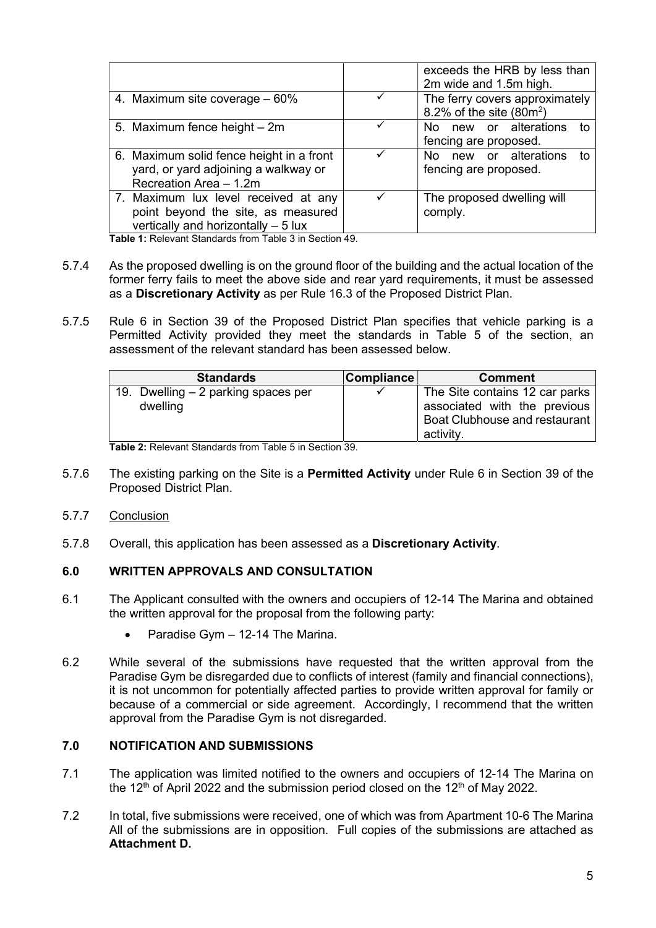|                                                                                                                    | exceeds the HRB by less than<br>2m wide and 1.5m high.       |
|--------------------------------------------------------------------------------------------------------------------|--------------------------------------------------------------|
| 4. Maximum site coverage – 60%                                                                                     | The ferry covers approximately<br>8.2% of the site $(80m^2)$ |
| 5. Maximum fence height - 2m                                                                                       | new or alterations to<br>No.<br>fencing are proposed.        |
| 6. Maximum solid fence height in a front<br>yard, or yard adjoining a walkway or<br>Recreation Area - 1.2m         | No new or alterations to<br>fencing are proposed.            |
| 7. Maximum lux level received at any<br>point beyond the site, as measured<br>vertically and horizontally $-5$ lux | The proposed dwelling will<br>comply.                        |

Table 1: Relevant Standards from Table 3 in Section 49.

- 5.7.4 As the proposed dwelling is on the ground floor of the building and the actual location of the former ferry fails to meet the above side and rear yard requirements, it must be assessed as a Discretionary Activity as per Rule 16.3 of the Proposed District Plan.
- 5.7.5 Rule 6 in Section 39 of the Proposed District Plan specifies that vehicle parking is a Permitted Activity provided they meet the standards in Table 5 of the section, an assessment of the relevant standard has been assessed below.

|                                                  | <b>Comment</b>                                                                                               |
|--------------------------------------------------|--------------------------------------------------------------------------------------------------------------|
| 19. Dwelling $-2$ parking spaces per<br>dwelling | The Site contains 12 car parks<br>associated with the previous<br>Boat Clubhouse and restaurant<br>activity. |

Table 2: Relevant Standards from Table 5 in Section 39.

- 5.7.6 The existing parking on the Site is a Permitted Activity under Rule 6 in Section 39 of the Proposed District Plan.
- 5.7.7 Conclusion
- 5.7.8 Overall, this application has been assessed as a Discretionary Activity.

# 6.0 WRITTEN APPROVALS AND CONSULTATION

- 6.1 The Applicant consulted with the owners and occupiers of 12-14 The Marina and obtained the written approval for the proposal from the following party:
	- Paradise Gym 12-14 The Marina.
- 6.2 While several of the submissions have requested that the written approval from the Paradise Gym be disregarded due to conflicts of interest (family and financial connections), it is not uncommon for potentially affected parties to provide written approval for family or because of a commercial or side agreement. Accordingly, I recommend that the written approval from the Paradise Gym is not disregarded.

# 7.0 NOTIFICATION AND SUBMISSIONS

- 7.1 The application was limited notified to the owners and occupiers of 12-14 The Marina on the 12<sup>th</sup> of April 2022 and the submission period closed on the 12<sup>th</sup> of May 2022.
- 7.2 In total, five submissions were received, one of which was from Apartment 10-6 The Marina All of the submissions are in opposition. Full copies of the submissions are attached as Attachment D.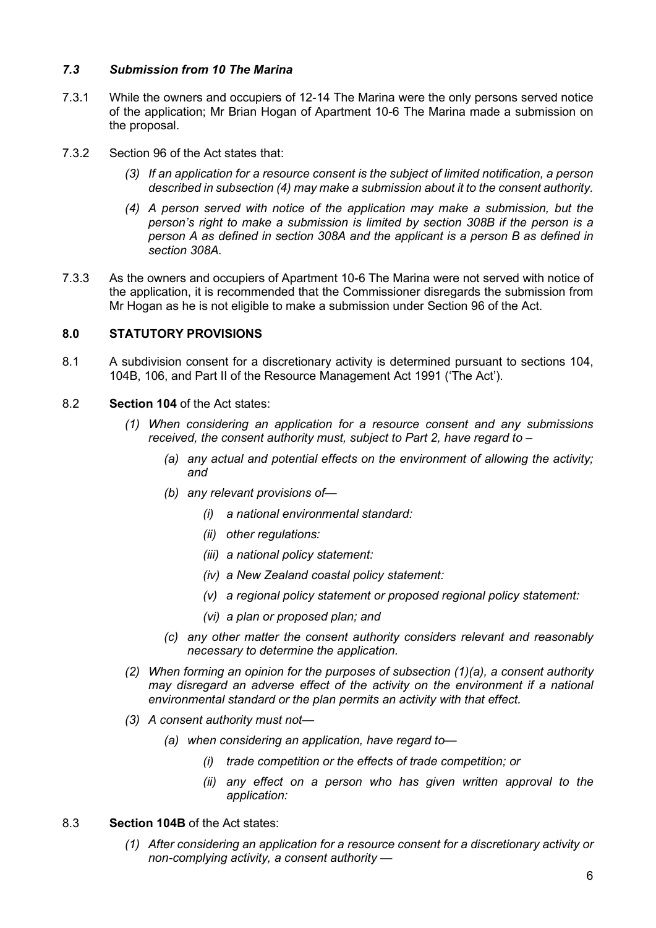# 7.3 Submission from 10 The Marina

- 7.3.1 While the owners and occupiers of 12-14 The Marina were the only persons served notice of the application; Mr Brian Hogan of Apartment 10-6 The Marina made a submission on the proposal.
- 7.3.2 Section 96 of the Act states that:
	- (3) If an application for a resource consent is the subject of limited notification, a person described in subsection (4) may make a submission about it to the consent authority.
	- (4) A person served with notice of the application may make a submission, but the person's right to make a submission is limited by section 308B if the person is a person A as defined in section 308A and the applicant is a person B as defined in section 308A.
- 7.3.3 As the owners and occupiers of Apartment 10-6 The Marina were not served with notice of the application, it is recommended that the Commissioner disregards the submission from Mr Hogan as he is not eligible to make a submission under Section 96 of the Act.

# 8.0 STATUTORY PROVISIONS

- 8.1 A subdivision consent for a discretionary activity is determined pursuant to sections 104, 104B, 106, and Part II of the Resource Management Act 1991 ('The Act').
- 8.2 Section 104 of the Act states:
	- (1) When considering an application for a resource consent and any submissions received, the consent authority must, subject to Part 2, have regard to –
		- (a) any actual and potential effects on the environment of allowing the activity; and
		- (b) any relevant provisions of—
			- (i) a national environmental standard:
			- (ii) other regulations:
			- (iii) a national policy statement:
			- (iv) a New Zealand coastal policy statement:
			- (v) a regional policy statement or proposed regional policy statement:
			- (vi) a plan or proposed plan; and
		- (c) any other matter the consent authority considers relevant and reasonably necessary to determine the application.
	- (2) When forming an opinion for the purposes of subsection (1)(a), a consent authority may disregard an adverse effect of the activity on the environment if a national environmental standard or the plan permits an activity with that effect.
	- (3) A consent authority must not—
		- (a) when considering an application, have regard to—
			- (i) trade competition or the effects of trade competition; or
			- (ii) any effect on a person who has given written approval to the application:
- 8.3 Section 104B of the Act states:
	- (1) After considering an application for a resource consent for a discretionary activity or non-complying activity, a consent authority —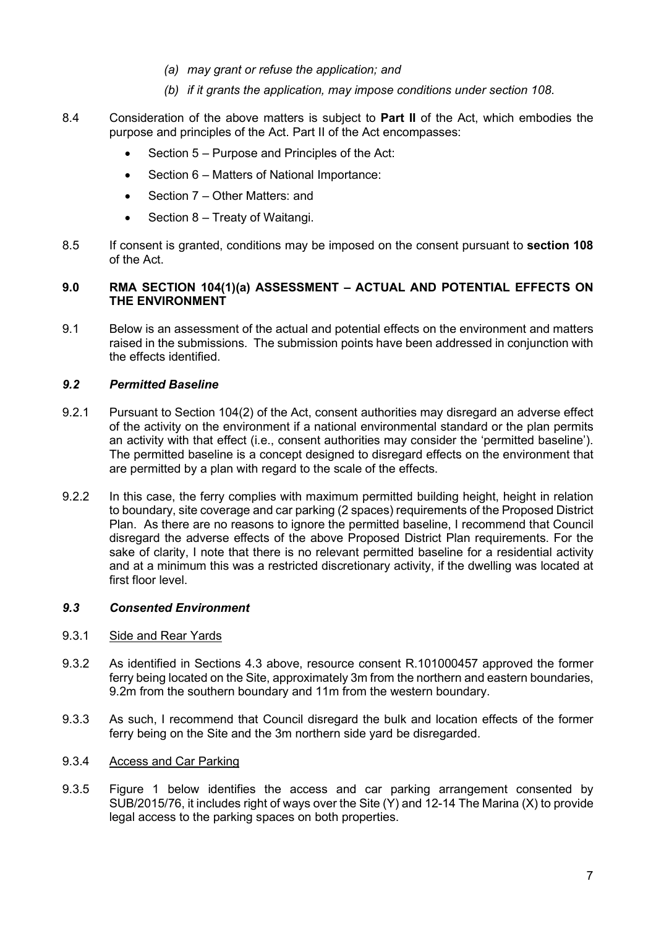- (a) may grant or refuse the application; and
- (b) if it grants the application, may impose conditions under section 108.
- 8.4 Consideration of the above matters is subject to **Part II** of the Act, which embodies the purpose and principles of the Act. Part II of the Act encompasses:
	- Section 5 Purpose and Principles of the Act:
	- Section 6 Matters of National Importance:
	- Section 7 Other Matters: and
	- Section 8 Treaty of Waitangi.
- 8.5 If consent is granted, conditions may be imposed on the consent pursuant to section 108 of the Act.

# 9.0 RMA SECTION 104(1)(a) ASSESSMENT – ACTUAL AND POTENTIAL EFFECTS ON THE ENVIRONMENT

9.1 Below is an assessment of the actual and potential effects on the environment and matters raised in the submissions. The submission points have been addressed in conjunction with the effects identified.

### 9.2 Permitted Baseline

- 9.2.1 Pursuant to Section 104(2) of the Act, consent authorities may disregard an adverse effect of the activity on the environment if a national environmental standard or the plan permits an activity with that effect (i.e., consent authorities may consider the 'permitted baseline'). The permitted baseline is a concept designed to disregard effects on the environment that are permitted by a plan with regard to the scale of the effects.
- 9.2.2 In this case, the ferry complies with maximum permitted building height, height in relation to boundary, site coverage and car parking (2 spaces) requirements of the Proposed District Plan. As there are no reasons to ignore the permitted baseline, I recommend that Council disregard the adverse effects of the above Proposed District Plan requirements. For the sake of clarity, I note that there is no relevant permitted baseline for a residential activity and at a minimum this was a restricted discretionary activity, if the dwelling was located at first floor level.

#### 9.3 Consented Environment

### 9.3.1 Side and Rear Yards

- 9.3.2 As identified in Sections 4.3 above, resource consent R.101000457 approved the former ferry being located on the Site, approximately 3m from the northern and eastern boundaries, 9.2m from the southern boundary and 11m from the western boundary.
- 9.3.3 As such, I recommend that Council disregard the bulk and location effects of the former ferry being on the Site and the 3m northern side yard be disregarded.

# 9.3.4 Access and Car Parking

9.3.5 Figure 1 below identifies the access and car parking arrangement consented by SUB/2015/76, it includes right of ways over the Site (Y) and 12-14 The Marina (X) to provide legal access to the parking spaces on both properties.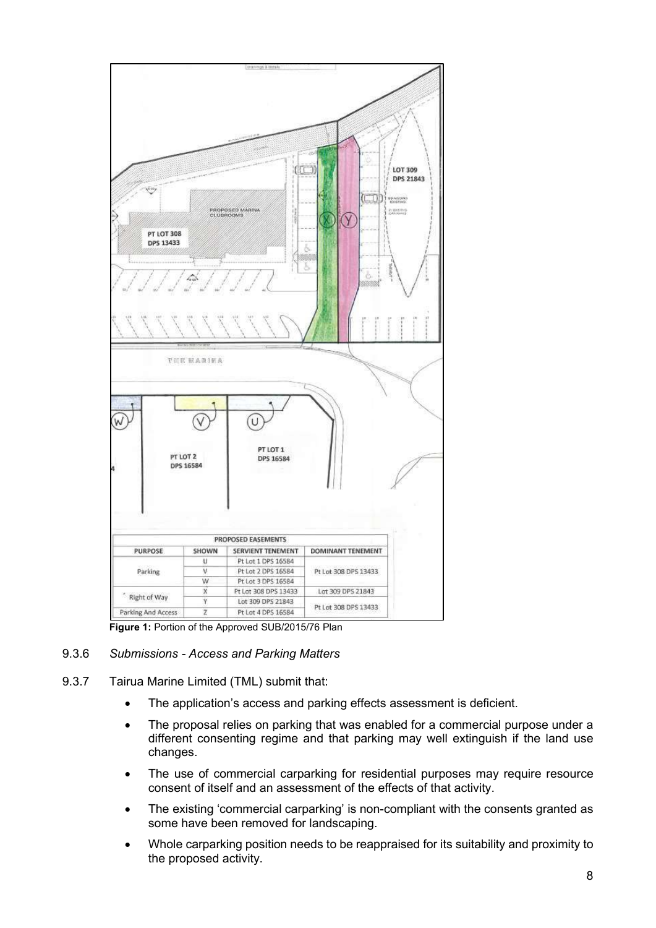

Figure 1: Portion of the Approved SUB/2015/76 Plan

# 9.3.6 Submissions - Access and Parking Matters

- 9.3.7 Tairua Marine Limited (TML) submit that:
	- The application's access and parking effects assessment is deficient.
	- The proposal relies on parking that was enabled for a commercial purpose under a different consenting regime and that parking may well extinguish if the land use changes.
	- The use of commercial carparking for residential purposes may require resource consent of itself and an assessment of the effects of that activity.
	- The existing 'commercial carparking' is non-compliant with the consents granted as some have been removed for landscaping.
	- Whole carparking position needs to be reappraised for its suitability and proximity to the proposed activity.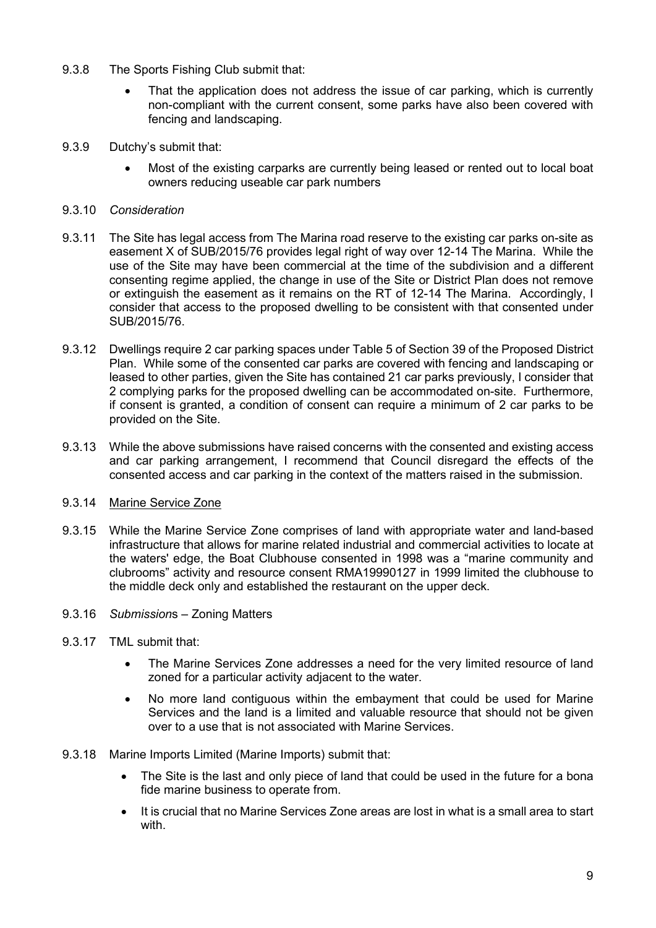- 9.3.8 The Sports Fishing Club submit that:
	- That the application does not address the issue of car parking, which is currently non-compliant with the current consent, some parks have also been covered with fencing and landscaping.
- 9.3.9 Dutchy's submit that:
	- Most of the existing carparks are currently being leased or rented out to local boat owners reducing useable car park numbers

# 9.3.10 Consideration

- 9.3.11 The Site has legal access from The Marina road reserve to the existing car parks on-site as easement X of SUB/2015/76 provides legal right of way over 12-14 The Marina. While the use of the Site may have been commercial at the time of the subdivision and a different consenting regime applied, the change in use of the Site or District Plan does not remove or extinguish the easement as it remains on the RT of 12-14 The Marina. Accordingly, I consider that access to the proposed dwelling to be consistent with that consented under SUB/2015/76.
- 9.3.12 Dwellings require 2 car parking spaces under Table 5 of Section 39 of the Proposed District Plan. While some of the consented car parks are covered with fencing and landscaping or leased to other parties, given the Site has contained 21 car parks previously, I consider that 2 complying parks for the proposed dwelling can be accommodated on-site. Furthermore, if consent is granted, a condition of consent can require a minimum of 2 car parks to be provided on the Site.
- 9.3.13 While the above submissions have raised concerns with the consented and existing access and car parking arrangement, I recommend that Council disregard the effects of the consented access and car parking in the context of the matters raised in the submission.

# 9.3.14 Marine Service Zone

- 9.3.15 While the Marine Service Zone comprises of land with appropriate water and land-based infrastructure that allows for marine related industrial and commercial activities to locate at the waters' edge, the Boat Clubhouse consented in 1998 was a "marine community and clubrooms" activity and resource consent RMA19990127 in 1999 limited the clubhouse to the middle deck only and established the restaurant on the upper deck.
- 9.3.16 Submissions Zoning Matters
- 9.3.17 TML submit that:
	- The Marine Services Zone addresses a need for the very limited resource of land zoned for a particular activity adjacent to the water.
	- No more land contiguous within the embayment that could be used for Marine Services and the land is a limited and valuable resource that should not be given over to a use that is not associated with Marine Services.
- 9.3.18 Marine Imports Limited (Marine Imports) submit that:
	- The Site is the last and only piece of land that could be used in the future for a bona fide marine business to operate from.
	- It is crucial that no Marine Services Zone areas are lost in what is a small area to start with.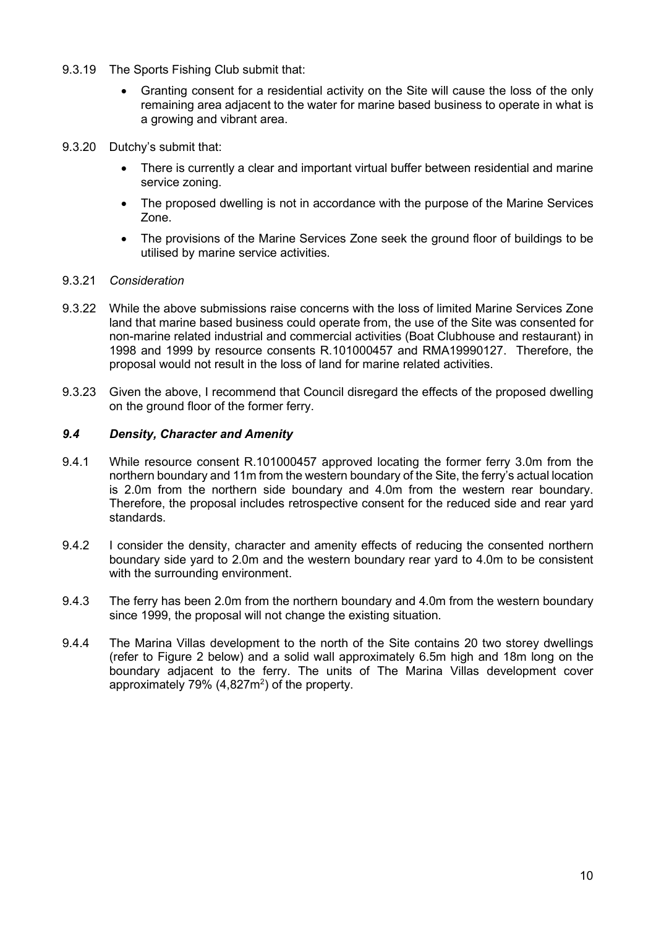- 9.3.19 The Sports Fishing Club submit that:
	- Granting consent for a residential activity on the Site will cause the loss of the only remaining area adjacent to the water for marine based business to operate in what is a growing and vibrant area.
- 9.3.20 Dutchy's submit that:
	- There is currently a clear and important virtual buffer between residential and marine service zoning.
	- The proposed dwelling is not in accordance with the purpose of the Marine Services Zone.
	- The provisions of the Marine Services Zone seek the ground floor of buildings to be utilised by marine service activities.
- 9.3.21 Consideration
- 9.3.22 While the above submissions raise concerns with the loss of limited Marine Services Zone land that marine based business could operate from, the use of the Site was consented for non-marine related industrial and commercial activities (Boat Clubhouse and restaurant) in 1998 and 1999 by resource consents R.101000457 and RMA19990127. Therefore, the proposal would not result in the loss of land for marine related activities.
- 9.3.23 Given the above, I recommend that Council disregard the effects of the proposed dwelling on the ground floor of the former ferry.

# 9.4 Density, Character and Amenity

- 9.4.1 While resource consent R.101000457 approved locating the former ferry 3.0m from the northern boundary and 11m from the western boundary of the Site, the ferry's actual location is 2.0m from the northern side boundary and 4.0m from the western rear boundary. Therefore, the proposal includes retrospective consent for the reduced side and rear yard standards.
- 9.4.2 I consider the density, character and amenity effects of reducing the consented northern boundary side yard to 2.0m and the western boundary rear yard to 4.0m to be consistent with the surrounding environment.
- 9.4.3 The ferry has been 2.0m from the northern boundary and 4.0m from the western boundary since 1999, the proposal will not change the existing situation.
- 9.4.4 The Marina Villas development to the north of the Site contains 20 two storey dwellings (refer to Figure 2 below) and a solid wall approximately 6.5m high and 18m long on the boundary adjacent to the ferry. The units of The Marina Villas development cover approximately 79%  $(4,827m^2)$  of the property.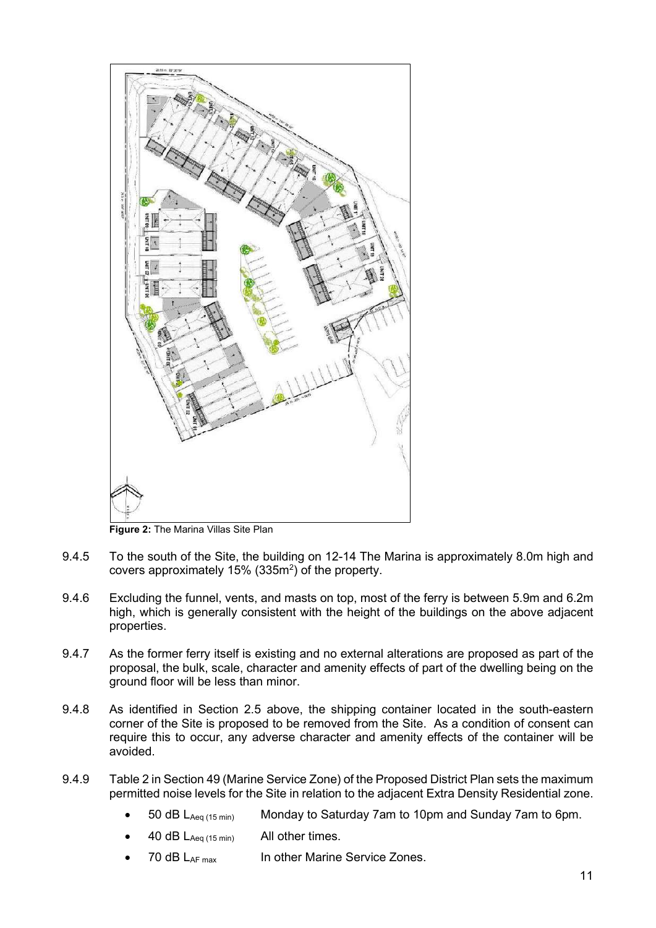

Figure 2: The Marina Villas Site Plan

- 9.4.5 To the south of the Site, the building on 12-14 The Marina is approximately 8.0m high and covers approximately  $15\%$  (335m<sup>2</sup>) of the property.
- 9.4.6 Excluding the funnel, vents, and masts on top, most of the ferry is between 5.9m and 6.2m high, which is generally consistent with the height of the buildings on the above adjacent properties.
- 9.4.7 As the former ferry itself is existing and no external alterations are proposed as part of the proposal, the bulk, scale, character and amenity effects of part of the dwelling being on the ground floor will be less than minor.
- 9.4.8 As identified in Section 2.5 above, the shipping container located in the south-eastern corner of the Site is proposed to be removed from the Site. As a condition of consent can require this to occur, any adverse character and amenity effects of the container will be avoided.
- 9.4.9 Table 2 in Section 49 (Marine Service Zone) of the Proposed District Plan sets the maximum permitted noise levels for the Site in relation to the adjacent Extra Density Residential zone.
	- 50 dB L<sub>Aeq (15 min</sub>) Monday to Saturday 7am to 10pm and Sunday 7am to 6pm.
	- 40 dB LAeq (15 min) All other times.
	- 70 dB LAF max In other Marine Service Zones.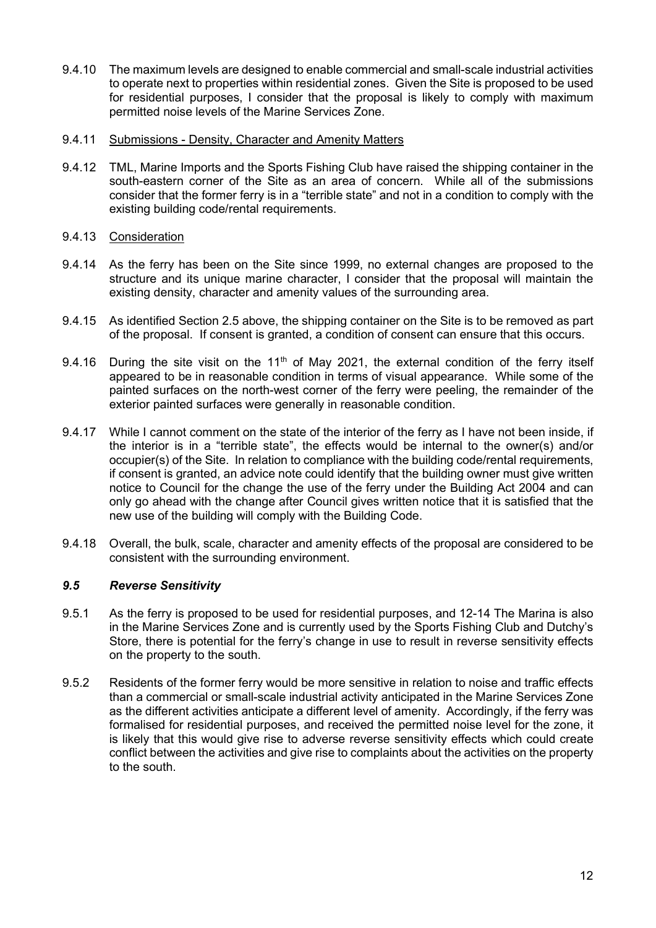9.4.10 The maximum levels are designed to enable commercial and small-scale industrial activities to operate next to properties within residential zones. Given the Site is proposed to be used for residential purposes, I consider that the proposal is likely to comply with maximum permitted noise levels of the Marine Services Zone.

# 9.4.11 Submissions - Density, Character and Amenity Matters

9.4.12 TML, Marine Imports and the Sports Fishing Club have raised the shipping container in the south-eastern corner of the Site as an area of concern. While all of the submissions consider that the former ferry is in a "terrible state" and not in a condition to comply with the existing building code/rental requirements.

# 9.4.13 Consideration

- 9.4.14 As the ferry has been on the Site since 1999, no external changes are proposed to the structure and its unique marine character, I consider that the proposal will maintain the existing density, character and amenity values of the surrounding area.
- 9.4.15 As identified Section 2.5 above, the shipping container on the Site is to be removed as part of the proposal. If consent is granted, a condition of consent can ensure that this occurs.
- 9.4.16 During the site visit on the 11<sup>th</sup> of May 2021, the external condition of the ferry itself appeared to be in reasonable condition in terms of visual appearance. While some of the painted surfaces on the north-west corner of the ferry were peeling, the remainder of the exterior painted surfaces were generally in reasonable condition.
- 9.4.17 While I cannot comment on the state of the interior of the ferry as I have not been inside, if the interior is in a "terrible state", the effects would be internal to the owner(s) and/or occupier(s) of the Site. In relation to compliance with the building code/rental requirements, if consent is granted, an advice note could identify that the building owner must give written notice to Council for the change the use of the ferry under the Building Act 2004 and can only go ahead with the change after Council gives written notice that it is satisfied that the new use of the building will comply with the Building Code.
- 9.4.18 Overall, the bulk, scale, character and amenity effects of the proposal are considered to be consistent with the surrounding environment.

# 9.5 Reverse Sensitivity

- 9.5.1 As the ferry is proposed to be used for residential purposes, and 12-14 The Marina is also in the Marine Services Zone and is currently used by the Sports Fishing Club and Dutchy's Store, there is potential for the ferry's change in use to result in reverse sensitivity effects on the property to the south.
- 9.5.2 Residents of the former ferry would be more sensitive in relation to noise and traffic effects than a commercial or small-scale industrial activity anticipated in the Marine Services Zone as the different activities anticipate a different level of amenity. Accordingly, if the ferry was formalised for residential purposes, and received the permitted noise level for the zone, it is likely that this would give rise to adverse reverse sensitivity effects which could create conflict between the activities and give rise to complaints about the activities on the property to the south.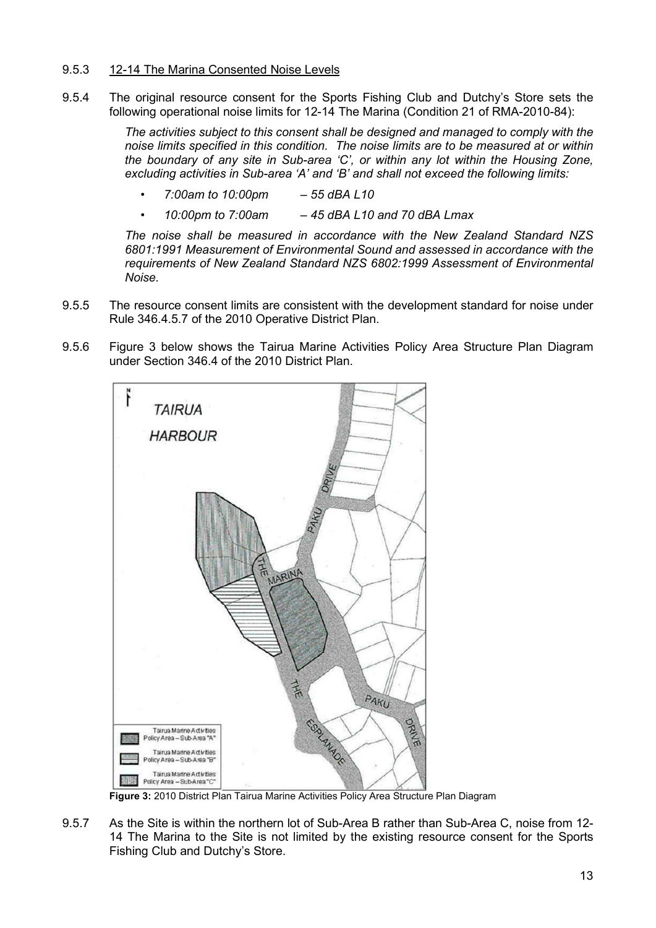# 9.5.3 12-14 The Marina Consented Noise Levels

9.5.4 The original resource consent for the Sports Fishing Club and Dutchy's Store sets the following operational noise limits for 12-14 The Marina (Condition 21 of RMA-2010-84):

> The activities subject to this consent shall be designed and managed to comply with the noise limits specified in this condition. The noise limits are to be measured at or within the boundary of any site in Sub-area 'C', or within any lot within the Housing Zone, excluding activities in Sub-area 'A' and 'B' and shall not exceed the following limits:

- 7:00am to 10:00pm 55 dBA L10
- 10:00pm to 7:00am 45 dBA L10 and 70 dBA Lmax

The noise shall be measured in accordance with the New Zealand Standard NZS 6801:1991 Measurement of Environmental Sound and assessed in accordance with the requirements of New Zealand Standard NZS 6802:1999 Assessment of Environmental Noise.

- 9.5.5 The resource consent limits are consistent with the development standard for noise under Rule 346.4.5.7 of the 2010 Operative District Plan.
- 9.5.6 Figure 3 below shows the Tairua Marine Activities Policy Area Structure Plan Diagram under Section 346.4 of the 2010 District Plan.



Figure 3: 2010 District Plan Tairua Marine Activities Policy Area Structure Plan Diagram

9.5.7 As the Site is within the northern lot of Sub-Area B rather than Sub-Area C, noise from 12- 14 The Marina to the Site is not limited by the existing resource consent for the Sports Fishing Club and Dutchy's Store.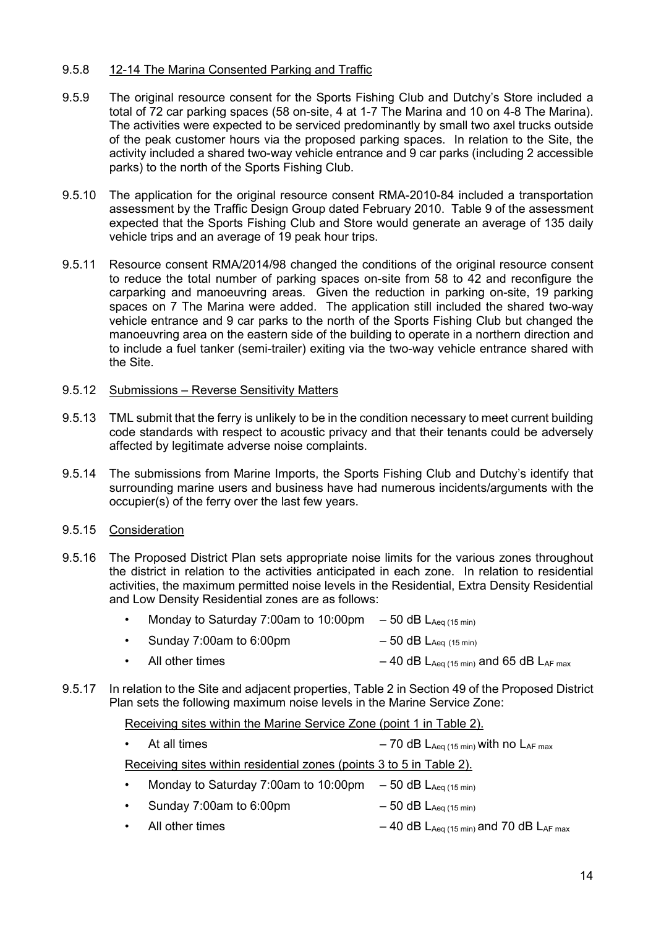# 9.5.8 12-14 The Marina Consented Parking and Traffic

- 9.5.9 The original resource consent for the Sports Fishing Club and Dutchy's Store included a total of 72 car parking spaces (58 on-site, 4 at 1-7 The Marina and 10 on 4-8 The Marina). The activities were expected to be serviced predominantly by small two axel trucks outside of the peak customer hours via the proposed parking spaces. In relation to the Site, the activity included a shared two-way vehicle entrance and 9 car parks (including 2 accessible parks) to the north of the Sports Fishing Club.
- 9.5.10 The application for the original resource consent RMA-2010-84 included a transportation assessment by the Traffic Design Group dated February 2010. Table 9 of the assessment expected that the Sports Fishing Club and Store would generate an average of 135 daily vehicle trips and an average of 19 peak hour trips.
- 9.5.11 Resource consent RMA/2014/98 changed the conditions of the original resource consent to reduce the total number of parking spaces on-site from 58 to 42 and reconfigure the carparking and manoeuvring areas. Given the reduction in parking on-site, 19 parking spaces on 7 The Marina were added. The application still included the shared two-way vehicle entrance and 9 car parks to the north of the Sports Fishing Club but changed the manoeuvring area on the eastern side of the building to operate in a northern direction and to include a fuel tanker (semi-trailer) exiting via the two-way vehicle entrance shared with the Site.

# 9.5.12 Submissions – Reverse Sensitivity Matters

- 9.5.13 TML submit that the ferry is unlikely to be in the condition necessary to meet current building code standards with respect to acoustic privacy and that their tenants could be adversely affected by legitimate adverse noise complaints.
- 9.5.14 The submissions from Marine Imports, the Sports Fishing Club and Dutchy's identify that surrounding marine users and business have had numerous incidents/arguments with the occupier(s) of the ferry over the last few years.

# 9.5.15 Consideration

9.5.16 The Proposed District Plan sets appropriate noise limits for the various zones throughout the district in relation to the activities anticipated in each zone. In relation to residential activities, the maximum permitted noise levels in the Residential, Extra Density Residential and Low Density Residential zones are as follows:

| Monday to Saturday 7:00am to 10:00pm $-50$ dB LAeq (15 min) |                             |
|-------------------------------------------------------------|-----------------------------|
| Sunday 7:00am to 6:00pm                                     | $-50$ dB $L_{Aeq}$ (15 min) |

- All other times  $-40$  dB  $L_{Aeq (15 min)}$  and 65 dB  $L_{AF max}$
- 9.5.17 In relation to the Site and adjacent properties, Table 2 in Section 49 of the Proposed District Plan sets the following maximum noise levels in the Marine Service Zone:

#### Receiving sites within the Marine Service Zone (point 1 in Table 2).

|           | $\cdot$ At all times                                                 | $-70$ dB $L_{Aeq (15 min)}$ with no $L_{AF max}$ |
|-----------|----------------------------------------------------------------------|--------------------------------------------------|
|           | Receiving sites within residential zones (points 3 to 5 in Table 2). |                                                  |
| $\bullet$ | Monday to Saturday 7:00am to 10:00pm $-50$ dB LAeq (15 min)          |                                                  |
| $\bullet$ | Sunday 7:00am to 6:00pm                                              | $-50$ dB $L_{Aeq (15 min)}$                      |

All other times  $-40$  dB  $L_{Aeq (15 min)}$  and 70 dB  $L_{AF max}$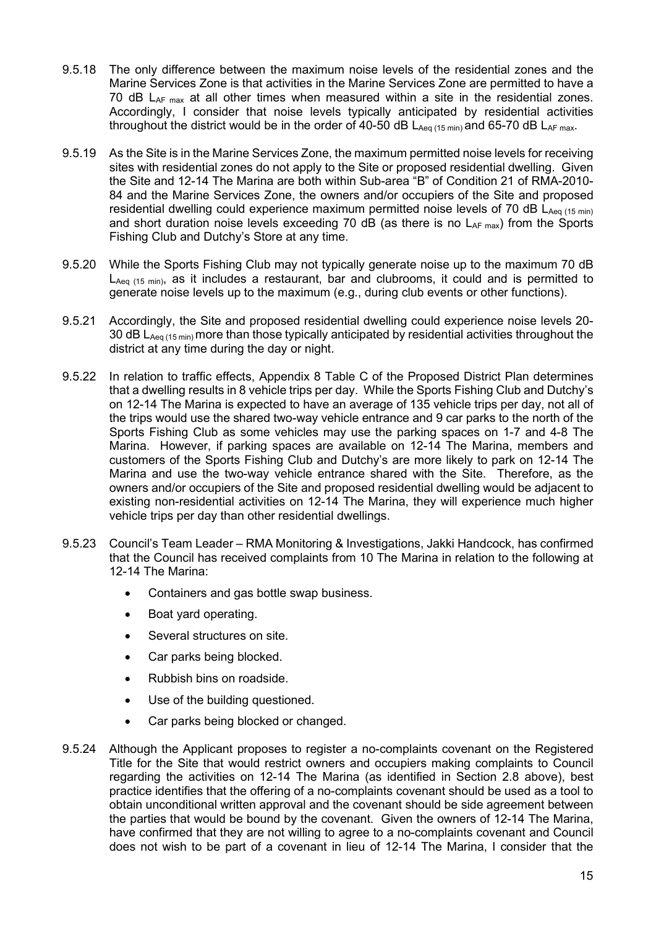- 9.5.18 The only difference between the maximum noise levels of the residential zones and the Marine Services Zone is that activities in the Marine Services Zone are permitted to have a 70 dB  $L_{AF \, max}$  at all other times when measured within a site in the residential zones. Accordingly, I consider that noise levels typically anticipated by residential activities throughout the district would be in the order of 40-50 dB  $L_{Aeq(15 min)}$  and 65-70 dB  $L_{AF max}$ .
- 9.5.19 As the Site is in the Marine Services Zone, the maximum permitted noise levels for receiving sites with residential zones do not apply to the Site or proposed residential dwelling. Given the Site and 12-14 The Marina are both within Sub-area "B" of Condition 21 of RMA-2010- 84 and the Marine Services Zone, the owners and/or occupiers of the Site and proposed residential dwelling could experience maximum permitted noise levels of 70 dB  $L_{Aeq(15 min)}$ and short duration noise levels exceeding 70 dB (as there is no  $L_{AF \, max}$ ) from the Sports Fishing Club and Dutchy's Store at any time.
- 9.5.20 While the Sports Fishing Club may not typically generate noise up to the maximum 70 dB  $L_{Aeq (15 min)}$ , as it includes a restaurant, bar and clubrooms, it could and is permitted to generate noise levels up to the maximum (e.g., during club events or other functions).
- 9.5.21 Accordingly, the Site and proposed residential dwelling could experience noise levels 20- 30 dB  $L_{Aeq(15 min)}$  more than those typically anticipated by residential activities throughout the district at any time during the day or night.
- 9.5.22 In relation to traffic effects, Appendix 8 Table C of the Proposed District Plan determines that a dwelling results in 8 vehicle trips per day. While the Sports Fishing Club and Dutchy's on 12-14 The Marina is expected to have an average of 135 vehicle trips per day, not all of the trips would use the shared two-way vehicle entrance and 9 car parks to the north of the Sports Fishing Club as some vehicles may use the parking spaces on 1-7 and 4-8 The Marina. However, if parking spaces are available on 12-14 The Marina, members and customers of the Sports Fishing Club and Dutchy's are more likely to park on 12-14 The Marina and use the two-way vehicle entrance shared with the Site. Therefore, as the owners and/or occupiers of the Site and proposed residential dwelling would be adjacent to existing non-residential activities on 12-14 The Marina, they will experience much higher vehicle trips per day than other residential dwellings.
- 9.5.23 Council's Team Leader RMA Monitoring & Investigations, Jakki Handcock, has confirmed that the Council has received complaints from 10 The Marina in relation to the following at 12-14 The Marina:
	- Containers and gas bottle swap business.
	- Boat yard operating.
	- Several structures on site.
	- Car parks being blocked.
	- Rubbish bins on roadside.
	- Use of the building questioned.
	- Car parks being blocked or changed.
- 9.5.24 Although the Applicant proposes to register a no-complaints covenant on the Registered Title for the Site that would restrict owners and occupiers making complaints to Council regarding the activities on 12-14 The Marina (as identified in Section 2.8 above), best practice identifies that the offering of a no-complaints covenant should be used as a tool to obtain unconditional written approval and the covenant should be side agreement between the parties that would be bound by the covenant. Given the owners of 12-14 The Marina, have confirmed that they are not willing to agree to a no-complaints covenant and Council does not wish to be part of a covenant in lieu of 12-14 The Marina, I consider that the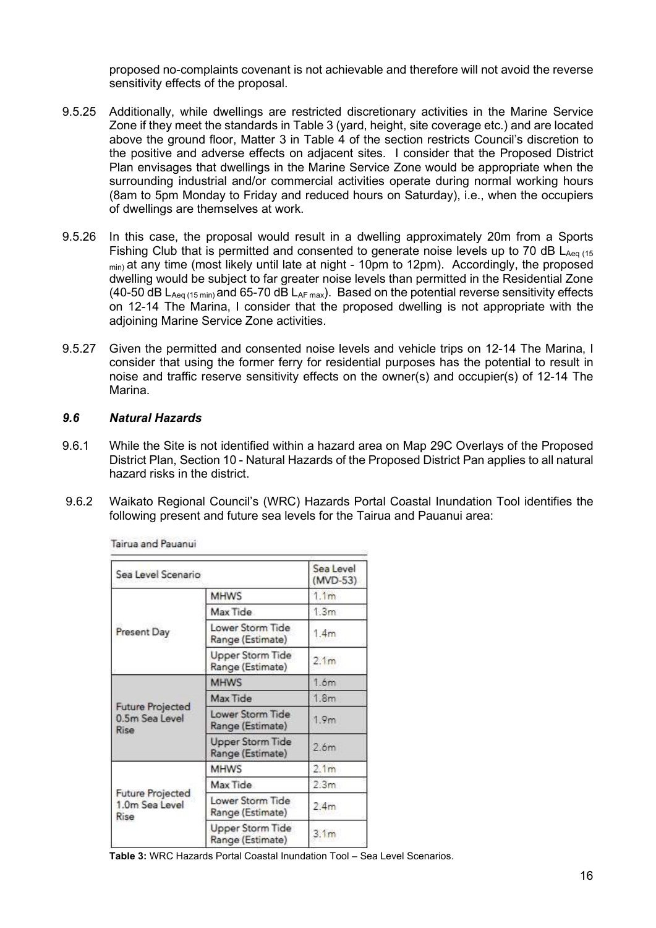proposed no-complaints covenant is not achievable and therefore will not avoid the reverse sensitivity effects of the proposal.

- 9.5.25 Additionally, while dwellings are restricted discretionary activities in the Marine Service Zone if they meet the standards in Table 3 (yard, height, site coverage etc.) and are located above the ground floor, Matter 3 in Table 4 of the section restricts Council's discretion to the positive and adverse effects on adjacent sites. I consider that the Proposed District Plan envisages that dwellings in the Marine Service Zone would be appropriate when the surrounding industrial and/or commercial activities operate during normal working hours (8am to 5pm Monday to Friday and reduced hours on Saturday), i.e., when the occupiers of dwellings are themselves at work.
- 9.5.26 In this case, the proposal would result in a dwelling approximately 20m from a Sports Fishing Club that is permitted and consented to generate noise levels up to 70 dB  $L_{Aeq}$  (15  $_{min}$ ) at any time (most likely until late at night - 10pm to 12pm). Accordingly, the proposed dwelling would be subject to far greater noise levels than permitted in the Residential Zone (40-50 dB  $L_{Aeq(15 min)}$  and 65-70 dB  $L_{AF max}$ ). Based on the potential reverse sensitivity effects on 12-14 The Marina, I consider that the proposed dwelling is not appropriate with the adjoining Marine Service Zone activities.
- 9.5.27 Given the permitted and consented noise levels and vehicle trips on 12-14 The Marina, I consider that using the former ferry for residential purposes has the potential to result in noise and traffic reserve sensitivity effects on the owner(s) and occupier(s) of 12-14 The Marina.

# 9.6 Natural Hazards

- 9.6.1 While the Site is not identified within a hazard area on Map 29C Overlays of the Proposed District Plan, Section 10 - Natural Hazards of the Proposed District Pan applies to all natural hazard risks in the district.
- 9.6.2 Waikato Regional Council's (WRC) Hazards Portal Coastal Inundation Tool identifies the following present and future sea levels for the Tairua and Pauanui area:

| Sea Level Scenario                                |                                             | Sea Level<br>(MVD-53) |
|---------------------------------------------------|---------------------------------------------|-----------------------|
|                                                   | <b>MHWS</b>                                 | 1.1 <sub>m</sub>      |
| Present Day                                       | Max Tide                                    | 1.3m                  |
|                                                   | Lower Storm Tide<br>Range (Estimate)        | 1.4m                  |
|                                                   | <b>Upper Storm Tide</b><br>Range (Estimate) | 2.1 <sub>m</sub>      |
| <b>Future Projected</b><br>0.5m Sea Level<br>Rise | <b>MHWS</b>                                 | 1.6m                  |
|                                                   | Max Tide                                    | 1.8 <sub>m</sub>      |
|                                                   | Lower Storm Tide<br>Range (Estimate)        | 1.9 <sub>m</sub>      |
|                                                   | <b>Upper Storm Tide</b><br>Range (Estimate) | 2.6 <sub>m</sub>      |
| <b>Future Projected</b><br>1.0m Sea Level<br>Rise | <b>MHWS</b>                                 | 2.1 <sub>m</sub>      |
|                                                   | Max Tide                                    | 2.3 <sub>m</sub>      |
|                                                   | Lower Storm Tide<br>Range (Estimate)        | 2.4m                  |
|                                                   | <b>Upper Storm Tide</b><br>Range (Estimate) | 3.1 <sub>m</sub>      |

Tairua and Pauanui

Table 3: WRC Hazards Portal Coastal Inundation Tool – Sea Level Scenarios.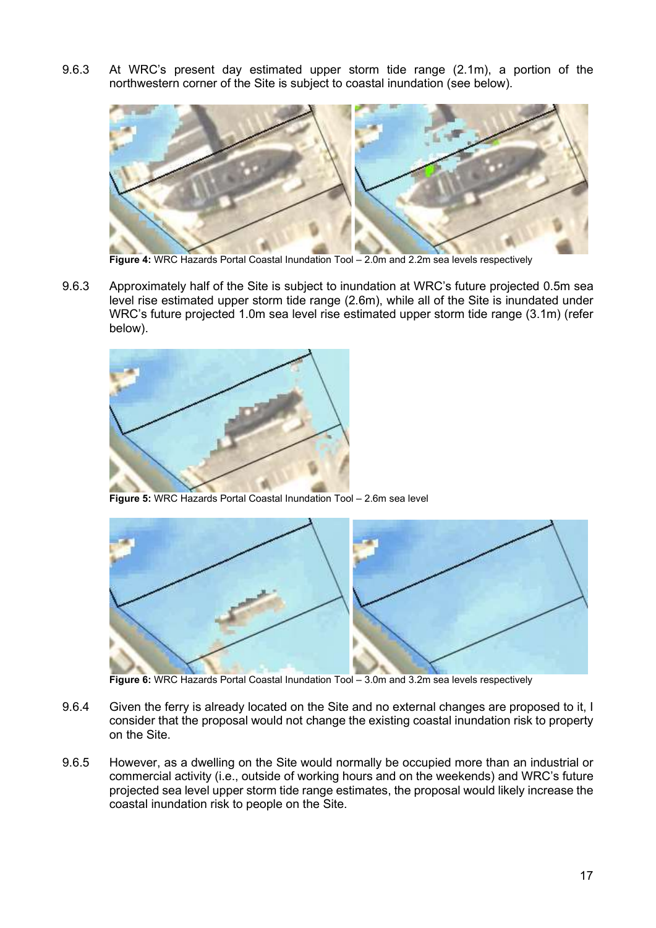9.6.3 At WRC's present day estimated upper storm tide range (2.1m), a portion of the northwestern corner of the Site is subject to coastal inundation (see below).



Figure 4: WRC Hazards Portal Coastal Inundation Tool - 2.0m and 2.2m sea levels respectively

9.6.3 Approximately half of the Site is subject to inundation at WRC's future projected 0.5m sea level rise estimated upper storm tide range (2.6m), while all of the Site is inundated under WRC's future projected 1.0m sea level rise estimated upper storm tide range (3.1m) (refer below).



Figure 5: WRC Hazards Portal Coastal Inundation Tool – 2.6m sea level



Figure 6: WRC Hazards Portal Coastal Inundation Tool - 3.0m and 3.2m sea levels respectively

- 9.6.4 Given the ferry is already located on the Site and no external changes are proposed to it, I consider that the proposal would not change the existing coastal inundation risk to property on the Site.
- 9.6.5 However, as a dwelling on the Site would normally be occupied more than an industrial or commercial activity (i.e., outside of working hours and on the weekends) and WRC's future projected sea level upper storm tide range estimates, the proposal would likely increase the coastal inundation risk to people on the Site.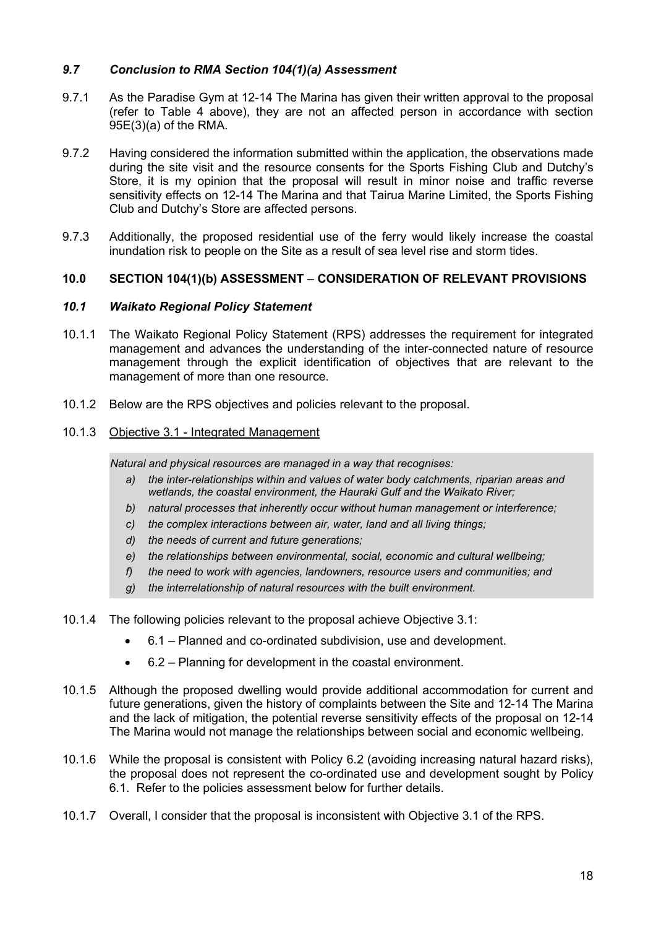# 9.7 Conclusion to RMA Section 104(1)(a) Assessment

- 9.7.1 As the Paradise Gym at 12-14 The Marina has given their written approval to the proposal (refer to Table 4 above), they are not an affected person in accordance with section 95E(3)(a) of the RMA.
- 9.7.2 Having considered the information submitted within the application, the observations made during the site visit and the resource consents for the Sports Fishing Club and Dutchy's Store, it is my opinion that the proposal will result in minor noise and traffic reverse sensitivity effects on 12-14 The Marina and that Tairua Marine Limited, the Sports Fishing Club and Dutchy's Store are affected persons.
- 9.7.3 Additionally, the proposed residential use of the ferry would likely increase the coastal inundation risk to people on the Site as a result of sea level rise and storm tides.

# 10.0 SECTION 104(1)(b) ASSESSMENT – CONSIDERATION OF RELEVANT PROVISIONS

### 10.1 Waikato Regional Policy Statement

- 10.1.1 The Waikato Regional Policy Statement (RPS) addresses the requirement for integrated management and advances the understanding of the inter-connected nature of resource management through the explicit identification of objectives that are relevant to the management of more than one resource.
- 10.1.2 Below are the RPS objectives and policies relevant to the proposal.

# 10.1.3 Objective 3.1 - Integrated Management

Natural and physical resources are managed in a way that recognises:

- a) the inter-relationships within and values of water body catchments, riparian areas and wetlands, the coastal environment, the Hauraki Gulf and the Waikato River;
- b) natural processes that inherently occur without human management or interference;
- c) the complex interactions between air, water, land and all living things;
- d) the needs of current and future generations;
- e) the relationships between environmental, social, economic and cultural wellbeing;
- f) the need to work with agencies, landowners, resource users and communities; and
- g) the interrelationship of natural resources with the built environment.
- 10.1.4 The following policies relevant to the proposal achieve Objective 3.1:
	- 6.1 Planned and co-ordinated subdivision, use and development.
	- 6.2 Planning for development in the coastal environment.
- 10.1.5 Although the proposed dwelling would provide additional accommodation for current and future generations, given the history of complaints between the Site and 12-14 The Marina and the lack of mitigation, the potential reverse sensitivity effects of the proposal on 12-14 The Marina would not manage the relationships between social and economic wellbeing.
- 10.1.6 While the proposal is consistent with Policy 6.2 (avoiding increasing natural hazard risks), the proposal does not represent the co-ordinated use and development sought by Policy 6.1. Refer to the policies assessment below for further details.
- 10.1.7 Overall, I consider that the proposal is inconsistent with Objective 3.1 of the RPS.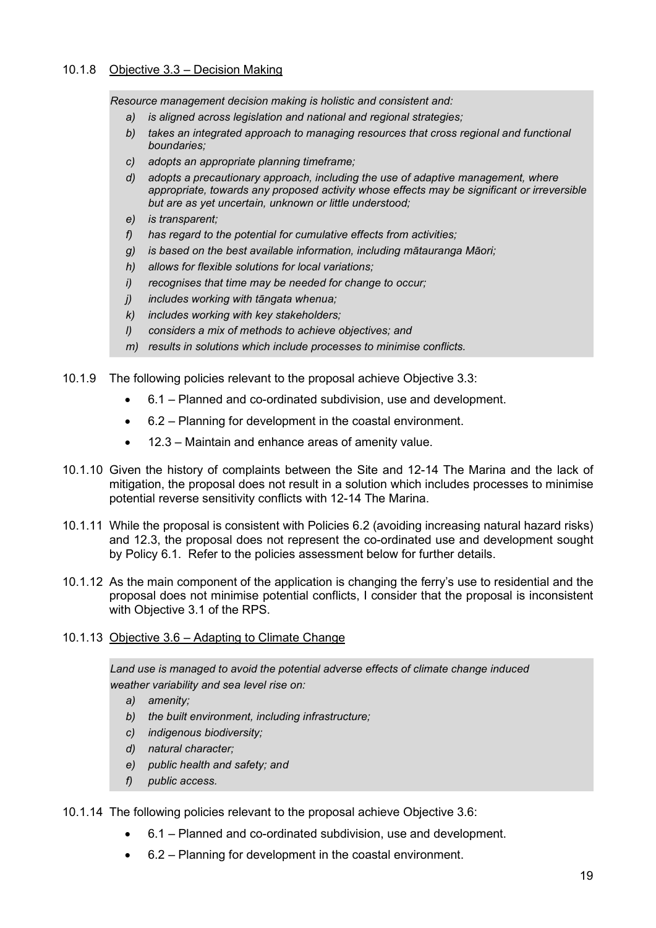# 10.1.8 Objective 3.3 – Decision Making

Resource management decision making is holistic and consistent and:

- a) is aligned across legislation and national and regional strategies;
- b) takes an integrated approach to managing resources that cross regional and functional boundaries;
- c) adopts an appropriate planning timeframe;
- d) adopts a precautionary approach, including the use of adaptive management, where appropriate, towards any proposed activity whose effects may be significant or irreversible but are as yet uncertain, unknown or little understood;
- e) is transparent;
- f) has regard to the potential for cumulative effects from activities;
- g) is based on the best available information, including mātauranga Māori;
- h) allows for flexible solutions for local variations;
- i) recognises that time may be needed for change to occur;
- j) includes working with tāngata whenua;
- k) includes working with key stakeholders;
- l) considers a mix of methods to achieve objectives; and
- m) results in solutions which include processes to minimise conflicts.

10.1.9 The following policies relevant to the proposal achieve Objective 3.3:

- 6.1 Planned and co-ordinated subdivision, use and development.
- 6.2 Planning for development in the coastal environment.
- 12.3 Maintain and enhance areas of amenity value.
- 10.1.10 Given the history of complaints between the Site and 12-14 The Marina and the lack of mitigation, the proposal does not result in a solution which includes processes to minimise potential reverse sensitivity conflicts with 12-14 The Marina.
- 10.1.11 While the proposal is consistent with Policies 6.2 (avoiding increasing natural hazard risks) and 12.3, the proposal does not represent the co-ordinated use and development sought by Policy 6.1. Refer to the policies assessment below for further details.
- 10.1.12 As the main component of the application is changing the ferry's use to residential and the proposal does not minimise potential conflicts, I consider that the proposal is inconsistent with Objective 3.1 of the RPS.
- 10.1.13 Objective 3.6 Adapting to Climate Change

Land use is managed to avoid the potential adverse effects of climate change induced weather variability and sea level rise on:

- a) amenity;
- b) the built environment, including infrastructure;
- c) indigenous biodiversity;
- d) natural character;
- e) public health and safety; and
- f) public access.

10.1.14 The following policies relevant to the proposal achieve Objective 3.6:

- 6.1 Planned and co-ordinated subdivision, use and development.
- 6.2 Planning for development in the coastal environment.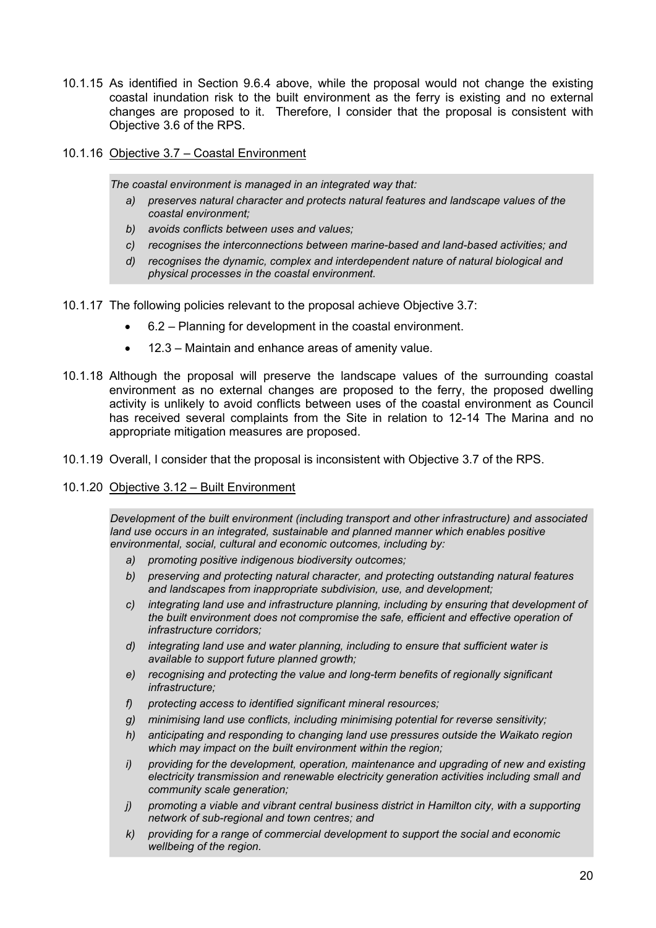- 10.1.15 As identified in Section 9.6.4 above, while the proposal would not change the existing coastal inundation risk to the built environment as the ferry is existing and no external changes are proposed to it. Therefore, I consider that the proposal is consistent with Objective 3.6 of the RPS.
- 10.1.16 Objective 3.7 Coastal Environment

The coastal environment is managed in an integrated way that:

- a) preserves natural character and protects natural features and landscape values of the coastal environment;
- b) avoids conflicts between uses and values:
- c) recognises the interconnections between marine-based and land-based activities; and
- d) recognises the dynamic, complex and interdependent nature of natural biological and physical processes in the coastal environment.
- 10.1.17 The following policies relevant to the proposal achieve Objective 3.7:
	- 6.2 Planning for development in the coastal environment.
	- 12.3 Maintain and enhance areas of amenity value.
- 10.1.18 Although the proposal will preserve the landscape values of the surrounding coastal environment as no external changes are proposed to the ferry, the proposed dwelling activity is unlikely to avoid conflicts between uses of the coastal environment as Council has received several complaints from the Site in relation to 12-14 The Marina and no appropriate mitigation measures are proposed.
- 10.1.19 Overall, I consider that the proposal is inconsistent with Objective 3.7 of the RPS.
- 10.1.20 Objective 3.12 Built Environment

Development of the built environment (including transport and other infrastructure) and associated land use occurs in an integrated, sustainable and planned manner which enables positive environmental, social, cultural and economic outcomes, including by:

- a) promoting positive indigenous biodiversity outcomes;
- b) preserving and protecting natural character, and protecting outstanding natural features and landscapes from inappropriate subdivision, use, and development;
- c) integrating land use and infrastructure planning, including by ensuring that development of the built environment does not compromise the safe, efficient and effective operation of infrastructure corridors;
- d) integrating land use and water planning, including to ensure that sufficient water is available to support future planned growth;
- e) recognising and protecting the value and long-term benefits of regionally significant infrastructure;
- f) protecting access to identified significant mineral resources;
- g) minimising land use conflicts, including minimising potential for reverse sensitivity;
- h) anticipating and responding to changing land use pressures outside the Waikato region which may impact on the built environment within the region;
- i) providing for the development, operation, maintenance and upgrading of new and existing electricity transmission and renewable electricity generation activities including small and community scale generation;
- j) promoting a viable and vibrant central business district in Hamilton city, with a supporting network of sub-regional and town centres; and
- k) providing for a range of commercial development to support the social and economic wellbeing of the region.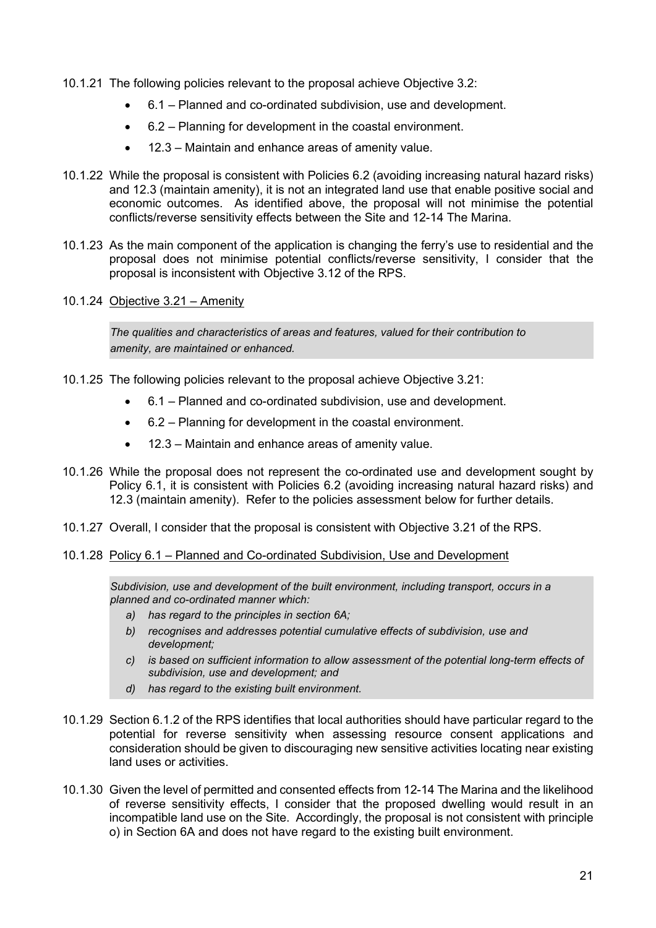- 10.1.21 The following policies relevant to the proposal achieve Objective 3.2:
	- 6.1 Planned and co-ordinated subdivision, use and development.
	- 6.2 Planning for development in the coastal environment.
	- 12.3 Maintain and enhance areas of amenity value.
- 10.1.22 While the proposal is consistent with Policies 6.2 (avoiding increasing natural hazard risks) and 12.3 (maintain amenity), it is not an integrated land use that enable positive social and economic outcomes. As identified above, the proposal will not minimise the potential conflicts/reverse sensitivity effects between the Site and 12-14 The Marina.
- 10.1.23 As the main component of the application is changing the ferry's use to residential and the proposal does not minimise potential conflicts/reverse sensitivity, I consider that the proposal is inconsistent with Objective 3.12 of the RPS.
- 10.1.24 Objective 3.21 Amenity

The qualities and characteristics of areas and features, valued for their contribution to amenity, are maintained or enhanced.

- 10.1.25 The following policies relevant to the proposal achieve Objective 3.21:
	- 6.1 Planned and co-ordinated subdivision, use and development.
	- 6.2 Planning for development in the coastal environment.
	- 12.3 Maintain and enhance areas of amenity value.
- 10.1.26 While the proposal does not represent the co-ordinated use and development sought by Policy 6.1, it is consistent with Policies 6.2 (avoiding increasing natural hazard risks) and 12.3 (maintain amenity). Refer to the policies assessment below for further details.
- 10.1.27 Overall, I consider that the proposal is consistent with Objective 3.21 of the RPS.
- 10.1.28 Policy 6.1 Planned and Co-ordinated Subdivision, Use and Development

Subdivision, use and development of the built environment, including transport, occurs in a planned and co-ordinated manner which:

- a) has regard to the principles in section 6A:
- b) recognises and addresses potential cumulative effects of subdivision, use and development;
- c) is based on sufficient information to allow assessment of the potential long-term effects of subdivision, use and development; and
- d) has regard to the existing built environment.
- 10.1.29 Section 6.1.2 of the RPS identifies that local authorities should have particular regard to the potential for reverse sensitivity when assessing resource consent applications and consideration should be given to discouraging new sensitive activities locating near existing land uses or activities.
- 10.1.30 Given the level of permitted and consented effects from 12-14 The Marina and the likelihood of reverse sensitivity effects, I consider that the proposed dwelling would result in an incompatible land use on the Site. Accordingly, the proposal is not consistent with principle o) in Section 6A and does not have regard to the existing built environment.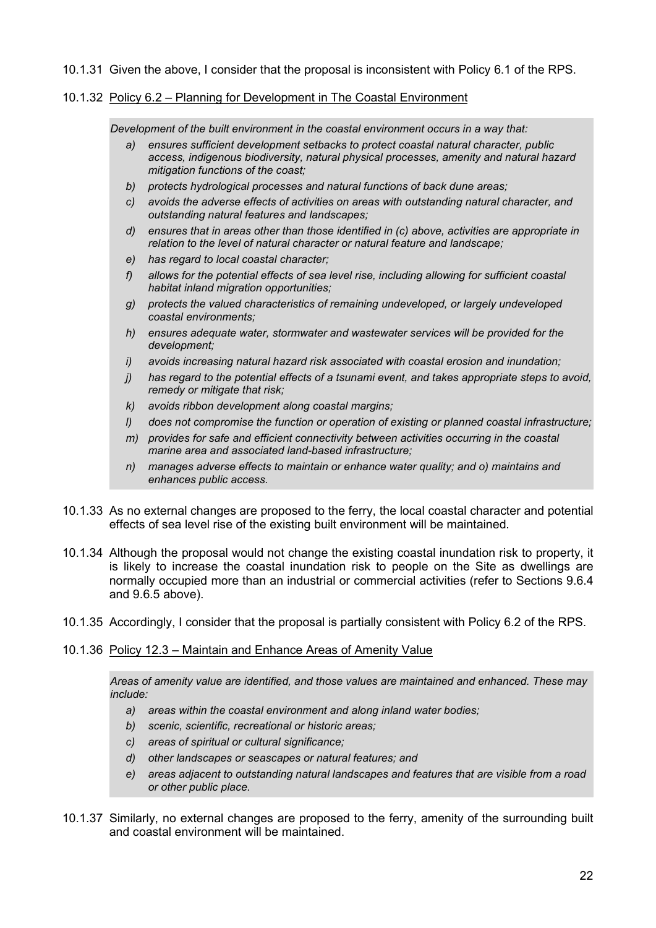# 10.1.31 Given the above, I consider that the proposal is inconsistent with Policy 6.1 of the RPS.

# 10.1.32 Policy 6.2 – Planning for Development in The Coastal Environment

Development of the built environment in the coastal environment occurs in a way that:

- a) ensures sufficient development setbacks to protect coastal natural character, public access, indigenous biodiversity, natural physical processes, amenity and natural hazard mitigation functions of the coast;
- b) protects hydrological processes and natural functions of back dune areas;
- c) avoids the adverse effects of activities on areas with outstanding natural character, and outstanding natural features and landscapes;
- d) ensures that in areas other than those identified in (c) above, activities are appropriate in relation to the level of natural character or natural feature and landscape;
- e) has regard to local coastal character;
- f) allows for the potential effects of sea level rise, including allowing for sufficient coastal habitat inland migration opportunities:
- g) protects the valued characteristics of remaining undeveloped, or largely undeveloped coastal environments;
- h) ensures adequate water, stormwater and wastewater services will be provided for the development;
- i) avoids increasing natural hazard risk associated with coastal erosion and inundation;
- j) has regard to the potential effects of a tsunami event, and takes appropriate steps to avoid, remedy or mitigate that risk;
- k) avoids ribbon development along coastal margins;
- l) does not compromise the function or operation of existing or planned coastal infrastructure;
- m) provides for safe and efficient connectivity between activities occurring in the coastal marine area and associated land-based infrastructure;
- n) manages adverse effects to maintain or enhance water quality; and o) maintains and enhances public access.
- 10.1.33 As no external changes are proposed to the ferry, the local coastal character and potential effects of sea level rise of the existing built environment will be maintained.
- 10.1.34 Although the proposal would not change the existing coastal inundation risk to property, it is likely to increase the coastal inundation risk to people on the Site as dwellings are normally occupied more than an industrial or commercial activities (refer to Sections 9.6.4 and 9.6.5 above).
- 10.1.35 Accordingly, I consider that the proposal is partially consistent with Policy 6.2 of the RPS.

# 10.1.36 Policy 12.3 – Maintain and Enhance Areas of Amenity Value

Areas of amenity value are identified, and those values are maintained and enhanced. These may include:

- a) areas within the coastal environment and along inland water bodies;
- b) scenic, scientific, recreational or historic areas;
- c) areas of spiritual or cultural significance;
- d) other landscapes or seascapes or natural features; and
- e) areas adjacent to outstanding natural landscapes and features that are visible from a road or other public place.
- 10.1.37 Similarly, no external changes are proposed to the ferry, amenity of the surrounding built and coastal environment will be maintained.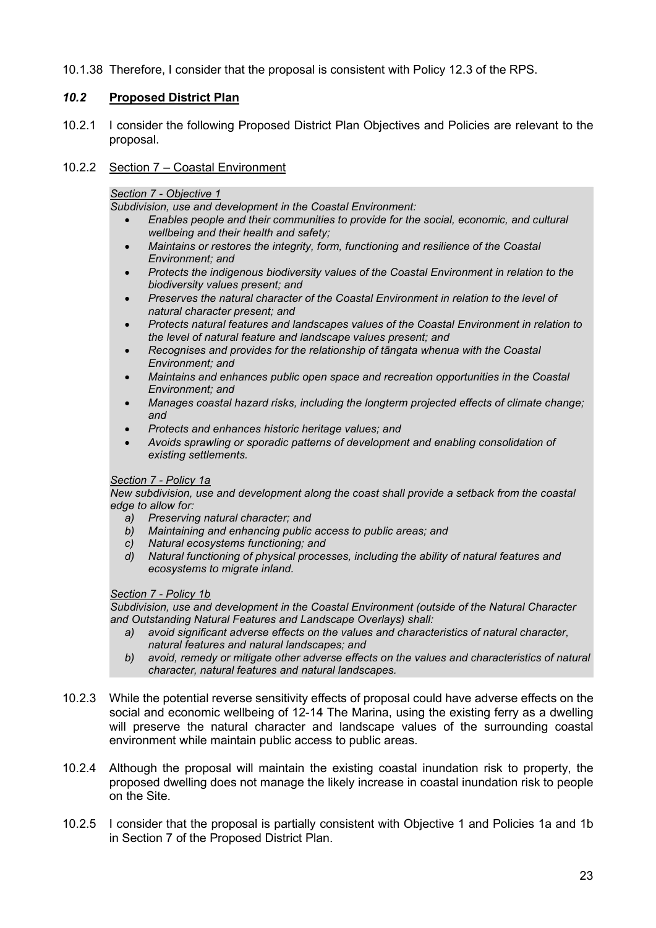10.1.38 Therefore, I consider that the proposal is consistent with Policy 12.3 of the RPS.

# 10.2 Proposed District Plan

10.2.1 I consider the following Proposed District Plan Objectives and Policies are relevant to the proposal.

# 10.2.2 Section 7 – Coastal Environment

Section 7 - Objective 1

Subdivision, use and development in the Coastal Environment:

- Enables people and their communities to provide for the social, economic, and cultural wellbeing and their health and safety;
- Maintains or restores the integrity, form, functioning and resilience of the Coastal Environment; and
- Protects the indigenous biodiversity values of the Coastal Environment in relation to the biodiversity values present; and
- Preserves the natural character of the Coastal Environment in relation to the level of natural character present; and
- Protects natural features and landscapes values of the Coastal Environment in relation to the level of natural feature and landscape values present; and
- Recognises and provides for the relationship of tāngata whenua with the Coastal Environment; and
- Maintains and enhances public open space and recreation opportunities in the Coastal Environment; and
- Manages coastal hazard risks, including the longterm projected effects of climate change; and
- Protects and enhances historic heritage values; and
- Avoids sprawling or sporadic patterns of development and enabling consolidation of existing settlements.

### Section 7 - Policy 1a

New subdivision, use and development along the coast shall provide a setback from the coastal edge to allow for:

- a) Preserving natural character; and
- b) Maintaining and enhancing public access to public areas; and
- c) Natural ecosystems functioning; and
- d) Natural functioning of physical processes, including the ability of natural features and ecosystems to migrate inland.

# Section 7 - Policy 1b

Subdivision, use and development in the Coastal Environment (outside of the Natural Character and Outstanding Natural Features and Landscape Overlays) shall:

- a) avoid significant adverse effects on the values and characteristics of natural character, natural features and natural landscapes; and
- b) avoid, remedy or mitigate other adverse effects on the values and characteristics of natural character, natural features and natural landscapes.
- 10.2.3 While the potential reverse sensitivity effects of proposal could have adverse effects on the social and economic wellbeing of 12-14 The Marina, using the existing ferry as a dwelling will preserve the natural character and landscape values of the surrounding coastal environment while maintain public access to public areas.
- 10.2.4 Although the proposal will maintain the existing coastal inundation risk to property, the proposed dwelling does not manage the likely increase in coastal inundation risk to people on the Site.
- 10.2.5 I consider that the proposal is partially consistent with Objective 1 and Policies 1a and 1b in Section 7 of the Proposed District Plan.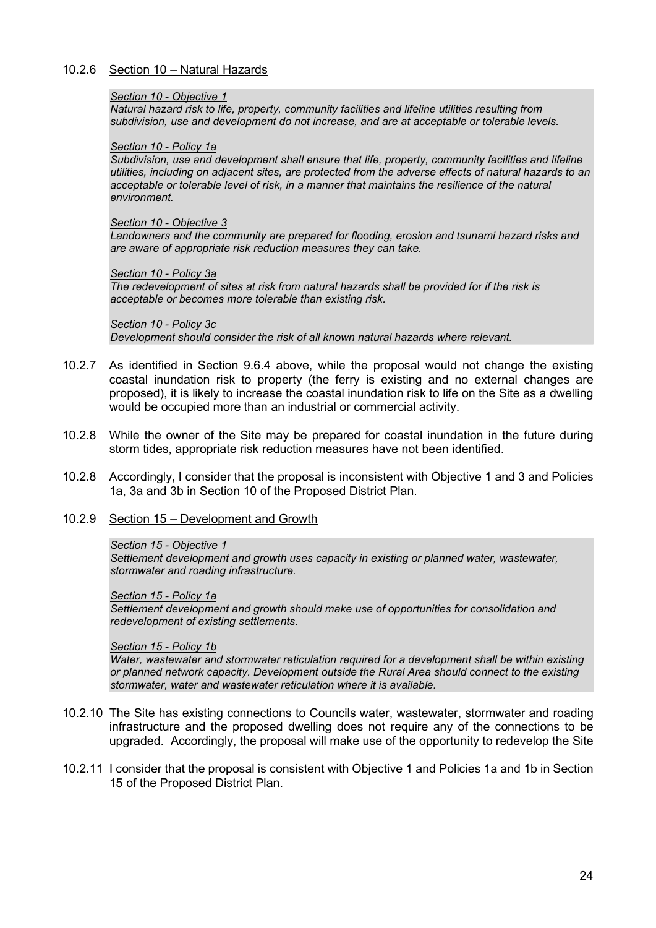# 10.2.6 Section 10 – Natural Hazards

#### Section 10 - Objective 1

Natural hazard risk to life, property, community facilities and lifeline utilities resulting from subdivision, use and development do not increase, and are at acceptable or tolerable levels.

#### Section 10 - Policy 1a

Subdivision, use and development shall ensure that life, property, community facilities and lifeline utilities, including on adjacent sites, are protected from the adverse effects of natural hazards to an acceptable or tolerable level of risk, in a manner that maintains the resilience of the natural environment.

#### Section 10 - Objective 3

Landowners and the community are prepared for flooding, erosion and tsunami hazard risks and are aware of appropriate risk reduction measures they can take.

#### Section 10 - Policy 3a

The redevelopment of sites at risk from natural hazards shall be provided for if the risk is acceptable or becomes more tolerable than existing risk.

#### Section 10 - Policy 3c

Development should consider the risk of all known natural hazards where relevant.

- 10.2.7 As identified in Section 9.6.4 above, while the proposal would not change the existing coastal inundation risk to property (the ferry is existing and no external changes are proposed), it is likely to increase the coastal inundation risk to life on the Site as a dwelling would be occupied more than an industrial or commercial activity.
- 10.2.8 While the owner of the Site may be prepared for coastal inundation in the future during storm tides, appropriate risk reduction measures have not been identified.
- 10.2.8 Accordingly, I consider that the proposal is inconsistent with Objective 1 and 3 and Policies 1a, 3a and 3b in Section 10 of the Proposed District Plan.
- 10.2.9 Section 15 Development and Growth

#### Section 15 - Objective 1

Settlement development and growth uses capacity in existing or planned water, wastewater, stormwater and roading infrastructure.

#### Section 15 - Policy 1a

Settlement development and growth should make use of opportunities for consolidation and redevelopment of existing settlements.

#### Section 15 - Policy 1b

Water, wastewater and stormwater reticulation required for a development shall be within existing or planned network capacity. Development outside the Rural Area should connect to the existing stormwater, water and wastewater reticulation where it is available.

- 10.2.10 The Site has existing connections to Councils water, wastewater, stormwater and roading infrastructure and the proposed dwelling does not require any of the connections to be upgraded. Accordingly, the proposal will make use of the opportunity to redevelop the Site
- 10.2.11 I consider that the proposal is consistent with Objective 1 and Policies 1a and 1b in Section 15 of the Proposed District Plan.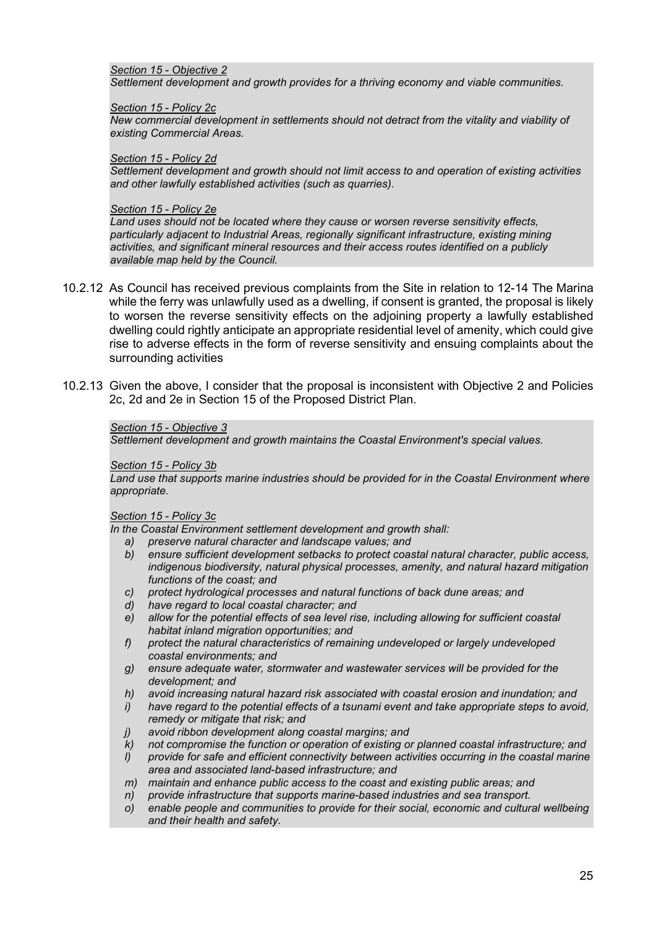#### Section 15 - Objective 2 Settlement development and growth provides for a thriving economy and viable communities.

#### Section 15 - Policy 2c

New commercial development in settlements should not detract from the vitality and viability of existing Commercial Areas.

#### Section 15 - Policy 2d

Settlement development and growth should not limit access to and operation of existing activities and other lawfully established activities (such as quarries).

#### Section 15 - Policy 2e

Land uses should not be located where they cause or worsen reverse sensitivity effects, particularly adjacent to Industrial Areas, regionally significant infrastructure, existing mining activities, and significant mineral resources and their access routes identified on a publicly available map held by the Council.

- 10.2.12 As Council has received previous complaints from the Site in relation to 12-14 The Marina while the ferry was unlawfully used as a dwelling, if consent is granted, the proposal is likely to worsen the reverse sensitivity effects on the adjoining property a lawfully established dwelling could rightly anticipate an appropriate residential level of amenity, which could give rise to adverse effects in the form of reverse sensitivity and ensuing complaints about the surrounding activities
- 10.2.13 Given the above, I consider that the proposal is inconsistent with Objective 2 and Policies 2c, 2d and 2e in Section 15 of the Proposed District Plan.

# Section 15 - Objective 3

Settlement development and growth maintains the Coastal Environment's special values.

#### Section 15 - Policy 3b

Land use that supports marine industries should be provided for in the Coastal Environment where appropriate.

#### Section 15 - Policy 3c

In the Coastal Environment settlement development and growth shall:

- a) preserve natural character and landscape values; and
- b) ensure sufficient development setbacks to protect coastal natural character, public access, indigenous biodiversity, natural physical processes, amenity, and natural hazard mitigation functions of the coast; and
- c) protect hydrological processes and natural functions of back dune areas; and
- d) have regard to local coastal character; and
- e) allow for the potential effects of sea level rise, including allowing for sufficient coastal habitat inland migration opportunities; and
- f) protect the natural characteristics of remaining undeveloped or largely undeveloped coastal environments; and
- g) ensure adequate water, stormwater and wastewater services will be provided for the development; and
- h) avoid increasing natural hazard risk associated with coastal erosion and inundation; and
- i) have regard to the potential effects of a tsunami event and take appropriate steps to avoid, remedy or mitigate that risk; and
- j) avoid ribbon development along coastal margins; and
- k) not compromise the function or operation of existing or planned coastal infrastructure; and
- l) provide for safe and efficient connectivity between activities occurring in the coastal marine area and associated land-based infrastructure; and
- m) maintain and enhance public access to the coast and existing public areas; and
- n) provide infrastructure that supports marine-based industries and sea transport.
- o) enable people and communities to provide for their social, economic and cultural wellbeing and their health and safety.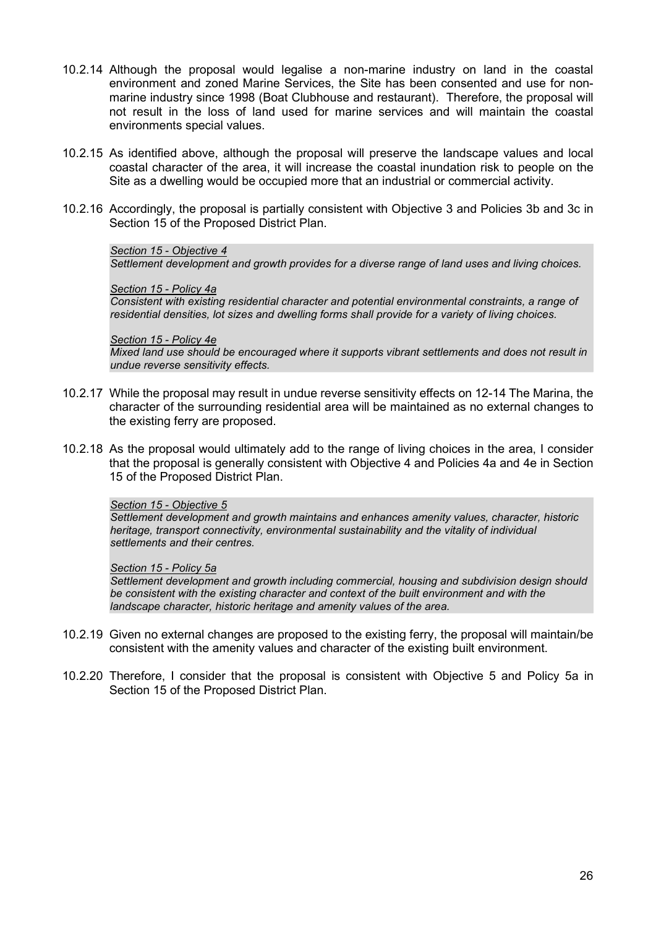- 10.2.14 Although the proposal would legalise a non-marine industry on land in the coastal environment and zoned Marine Services, the Site has been consented and use for nonmarine industry since 1998 (Boat Clubhouse and restaurant). Therefore, the proposal will not result in the loss of land used for marine services and will maintain the coastal environments special values.
- 10.2.15 As identified above, although the proposal will preserve the landscape values and local coastal character of the area, it will increase the coastal inundation risk to people on the Site as a dwelling would be occupied more that an industrial or commercial activity.
- 10.2.16 Accordingly, the proposal is partially consistent with Objective 3 and Policies 3b and 3c in Section 15 of the Proposed District Plan.

#### Section 15 - Objective 4

Settlement development and growth provides for a diverse range of land uses and living choices.

#### Section 15 - Policy 4a

Consistent with existing residential character and potential environmental constraints, a range of residential densities, lot sizes and dwelling forms shall provide for a variety of living choices.

#### Section 15 - Policy 4e

Mixed land use should be encouraged where it supports vibrant settlements and does not result in undue reverse sensitivity effects.

- 10.2.17 While the proposal may result in undue reverse sensitivity effects on 12-14 The Marina, the character of the surrounding residential area will be maintained as no external changes to the existing ferry are proposed.
- 10.2.18 As the proposal would ultimately add to the range of living choices in the area, I consider that the proposal is generally consistent with Objective 4 and Policies 4a and 4e in Section 15 of the Proposed District Plan.

# Section 15 - Objective 5

Settlement development and growth maintains and enhances amenity values, character, historic heritage, transport connectivity, environmental sustainability and the vitality of individual settlements and their centres.

#### Section 15 - Policy 5a

Settlement development and growth including commercial, housing and subdivision design should be consistent with the existing character and context of the built environment and with the landscape character, historic heritage and amenity values of the area.

- 10.2.19 Given no external changes are proposed to the existing ferry, the proposal will maintain/be consistent with the amenity values and character of the existing built environment.
- 10.2.20 Therefore, I consider that the proposal is consistent with Objective 5 and Policy 5a in Section 15 of the Proposed District Plan.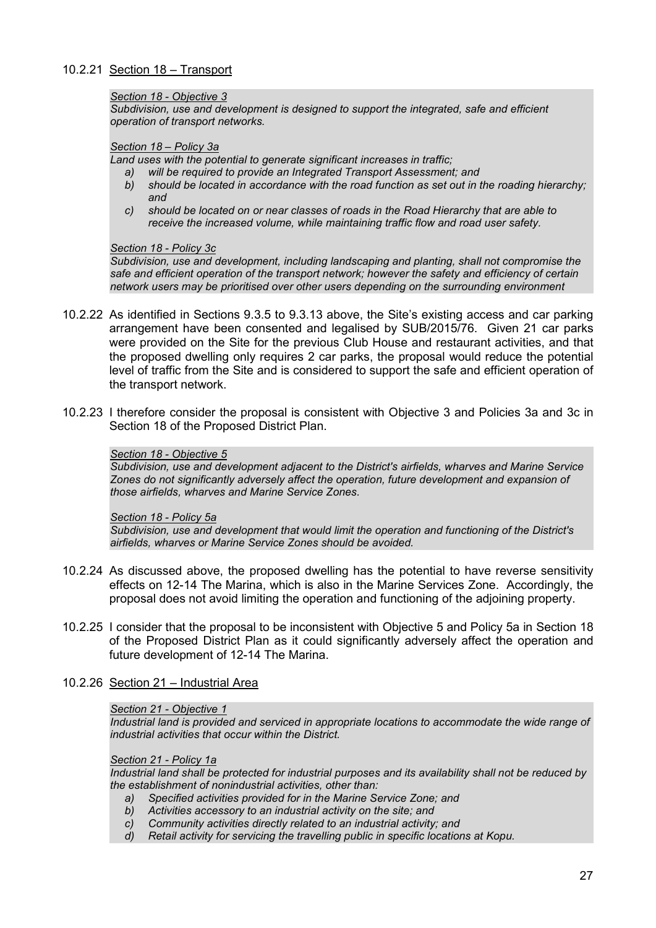# 10.2.21 Section 18 – Transport

#### Section 18 - Objective 3

Subdivision, use and development is designed to support the integrated, safe and efficient operation of transport networks.

#### Section 18 – Policy 3a

Land uses with the potential to generate significant increases in traffic;

- a) will be required to provide an Integrated Transport Assessment; and
- b) should be located in accordance with the road function as set out in the roading hierarchy; and
- c) should be located on or near classes of roads in the Road Hierarchy that are able to receive the increased volume, while maintaining traffic flow and road user safety.

#### Section 18 - Policy 3c

Subdivision, use and development, including landscaping and planting, shall not compromise the safe and efficient operation of the transport network; however the safety and efficiency of certain network users may be prioritised over other users depending on the surrounding environment

- 10.2.22 As identified in Sections 9.3.5 to 9.3.13 above, the Site's existing access and car parking arrangement have been consented and legalised by SUB/2015/76. Given 21 car parks were provided on the Site for the previous Club House and restaurant activities, and that the proposed dwelling only requires 2 car parks, the proposal would reduce the potential level of traffic from the Site and is considered to support the safe and efficient operation of the transport network.
- 10.2.23 I therefore consider the proposal is consistent with Objective 3 and Policies 3a and 3c in Section 18 of the Proposed District Plan.

#### Section 18 - Objective 5

Subdivision, use and development adjacent to the District's airfields, wharves and Marine Service Zones do not significantly adversely affect the operation, future development and expansion of those airfields, wharves and Marine Service Zones.

#### Section 18 - Policy 5a

Subdivision, use and development that would limit the operation and functioning of the District's airfields, wharves or Marine Service Zones should be avoided.

- 10.2.24 As discussed above, the proposed dwelling has the potential to have reverse sensitivity effects on 12-14 The Marina, which is also in the Marine Services Zone. Accordingly, the proposal does not avoid limiting the operation and functioning of the adjoining property.
- 10.2.25 I consider that the proposal to be inconsistent with Objective 5 and Policy 5a in Section 18 of the Proposed District Plan as it could significantly adversely affect the operation and future development of 12-14 The Marina.
- 10.2.26 Section 21 Industrial Area

### Section 21 - Objective 1

Industrial land is provided and serviced in appropriate locations to accommodate the wide range of industrial activities that occur within the District.

#### Section 21 - Policy 1a

Industrial land shall be protected for industrial purposes and its availability shall not be reduced by the establishment of nonindustrial activities, other than:

- a) Specified activities provided for in the Marine Service Zone; and
- b) Activities accessory to an industrial activity on the site; and
- c) Community activities directly related to an industrial activity; and
- d) Retail activity for servicing the travelling public in specific locations at Kopu.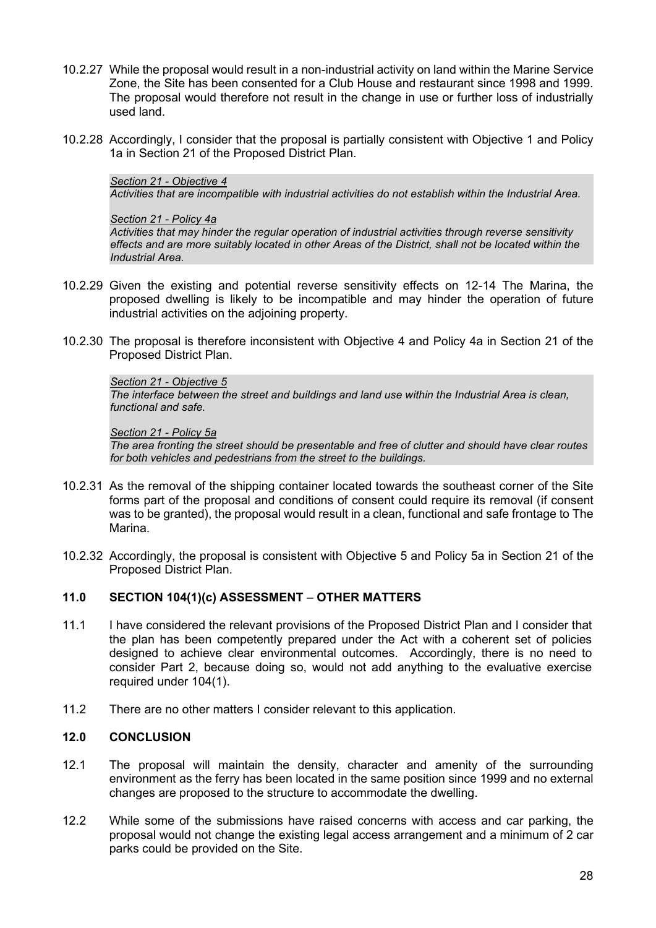- 10.2.27 While the proposal would result in a non-industrial activity on land within the Marine Service Zone, the Site has been consented for a Club House and restaurant since 1998 and 1999. The proposal would therefore not result in the change in use or further loss of industrially used land.
- 10.2.28 Accordingly, I consider that the proposal is partially consistent with Objective 1 and Policy 1a in Section 21 of the Proposed District Plan.

### Section 21 - Objective 4

Activities that are incompatible with industrial activities do not establish within the Industrial Area.

#### Section 21 - Policy 4a

Activities that may hinder the regular operation of industrial activities through reverse sensitivity effects and are more suitably located in other Areas of the District, shall not be located within the Industrial Area.

- 10.2.29 Given the existing and potential reverse sensitivity effects on 12-14 The Marina, the proposed dwelling is likely to be incompatible and may hinder the operation of future industrial activities on the adjoining property.
- 10.2.30 The proposal is therefore inconsistent with Objective 4 and Policy 4a in Section 21 of the Proposed District Plan.

#### Section 21 - Objective 5

The interface between the street and buildings and land use within the Industrial Area is clean, functional and safe.

#### Section 21 - Policy 5a

The area fronting the street should be presentable and free of clutter and should have clear routes for both vehicles and pedestrians from the street to the buildings.

- 10.2.31 As the removal of the shipping container located towards the southeast corner of the Site forms part of the proposal and conditions of consent could require its removal (if consent was to be granted), the proposal would result in a clean, functional and safe frontage to The Marina.
- 10.2.32 Accordingly, the proposal is consistent with Objective 5 and Policy 5a in Section 21 of the Proposed District Plan.

# 11.0 SECTION 104(1)(c) ASSESSMENT – OTHER MATTERS

- 11.1 I have considered the relevant provisions of the Proposed District Plan and I consider that the plan has been competently prepared under the Act with a coherent set of policies designed to achieve clear environmental outcomes. Accordingly, there is no need to consider Part 2, because doing so, would not add anything to the evaluative exercise required under 104(1).
- 11.2 There are no other matters I consider relevant to this application.

# 12.0 CONCLUSION

- 12.1 The proposal will maintain the density, character and amenity of the surrounding environment as the ferry has been located in the same position since 1999 and no external changes are proposed to the structure to accommodate the dwelling.
- 12.2 While some of the submissions have raised concerns with access and car parking, the proposal would not change the existing legal access arrangement and a minimum of 2 car parks could be provided on the Site.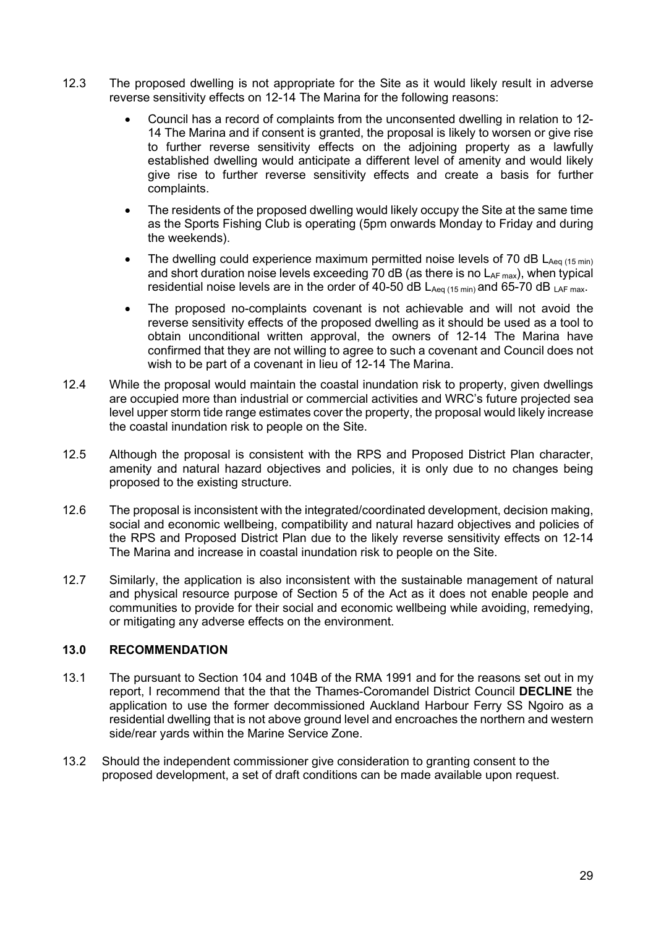- 12.3 The proposed dwelling is not appropriate for the Site as it would likely result in adverse reverse sensitivity effects on 12-14 The Marina for the following reasons:
	- Council has a record of complaints from the unconsented dwelling in relation to 12- 14 The Marina and if consent is granted, the proposal is likely to worsen or give rise to further reverse sensitivity effects on the adjoining property as a lawfully established dwelling would anticipate a different level of amenity and would likely give rise to further reverse sensitivity effects and create a basis for further complaints.
	- The residents of the proposed dwelling would likely occupy the Site at the same time as the Sports Fishing Club is operating (5pm onwards Monday to Friday and during the weekends).
	- The dwelling could experience maximum permitted noise levels of 70 dB  $L_{Aeq(15 min)}$ and short duration noise levels exceeding 70 dB (as there is no  $L_{AF \, max}$ ), when typical residential noise levels are in the order of 40-50 dB  $L_{Aeq(15 min)}$  and 65-70 dB  $_{LAF max}$ .
	- The proposed no-complaints covenant is not achievable and will not avoid the reverse sensitivity effects of the proposed dwelling as it should be used as a tool to obtain unconditional written approval, the owners of 12-14 The Marina have confirmed that they are not willing to agree to such a covenant and Council does not wish to be part of a covenant in lieu of 12-14 The Marina.
- 12.4 While the proposal would maintain the coastal inundation risk to property, given dwellings are occupied more than industrial or commercial activities and WRC's future projected sea level upper storm tide range estimates cover the property, the proposal would likely increase the coastal inundation risk to people on the Site.
- 12.5 Although the proposal is consistent with the RPS and Proposed District Plan character, amenity and natural hazard objectives and policies, it is only due to no changes being proposed to the existing structure.
- 12.6 The proposal is inconsistent with the integrated/coordinated development, decision making, social and economic wellbeing, compatibility and natural hazard objectives and policies of the RPS and Proposed District Plan due to the likely reverse sensitivity effects on 12-14 The Marina and increase in coastal inundation risk to people on the Site.
- 12.7 Similarly, the application is also inconsistent with the sustainable management of natural and physical resource purpose of Section 5 of the Act as it does not enable people and communities to provide for their social and economic wellbeing while avoiding, remedying, or mitigating any adverse effects on the environment.

# 13.0 RECOMMENDATION

- 13.1 The pursuant to Section 104 and 104B of the RMA 1991 and for the reasons set out in my report, I recommend that the that the Thames-Coromandel District Council DECLINE the application to use the former decommissioned Auckland Harbour Ferry SS Ngoiro as a residential dwelling that is not above ground level and encroaches the northern and western side/rear yards within the Marine Service Zone.
- 13.2 Should the independent commissioner give consideration to granting consent to the proposed development, a set of draft conditions can be made available upon request.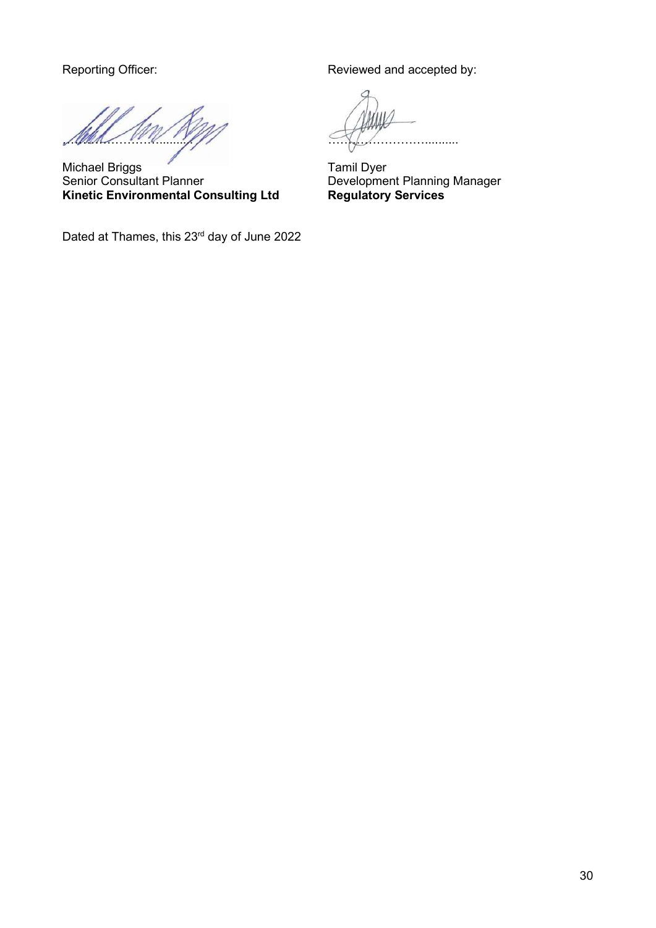Michael Briggs<br>
Senior Consultant Planner<br>
Developme **Kinetic Environmental Consulting Ltd** 

Dated at Thames, this 23<sup>rd</sup> day of June 2022

Reporting Officer: Reviewed and accepted by:

………………

Development Planning Manager<br>Regulatory Services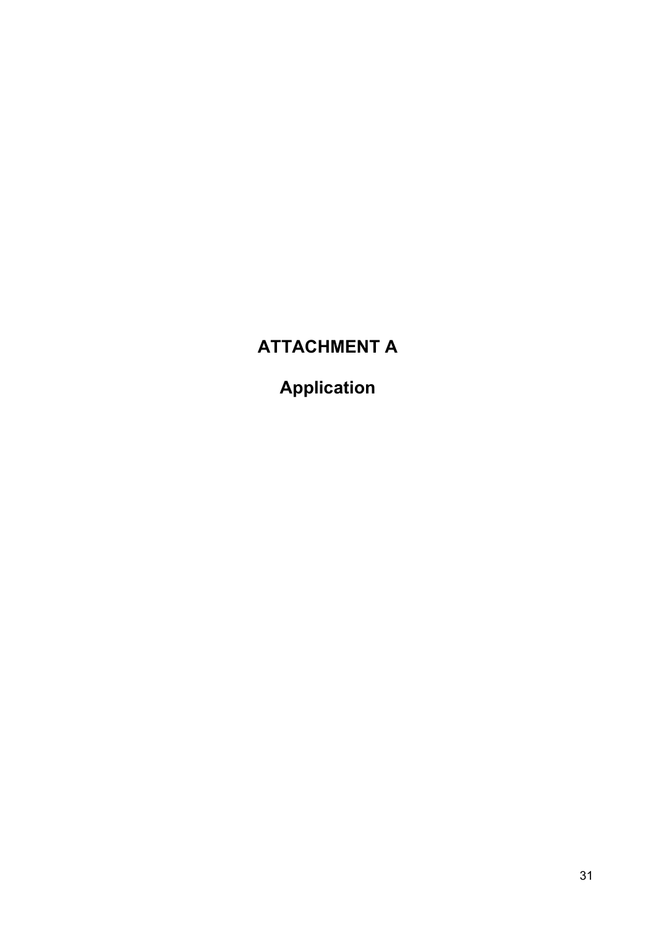# ATTACHMENT A

Application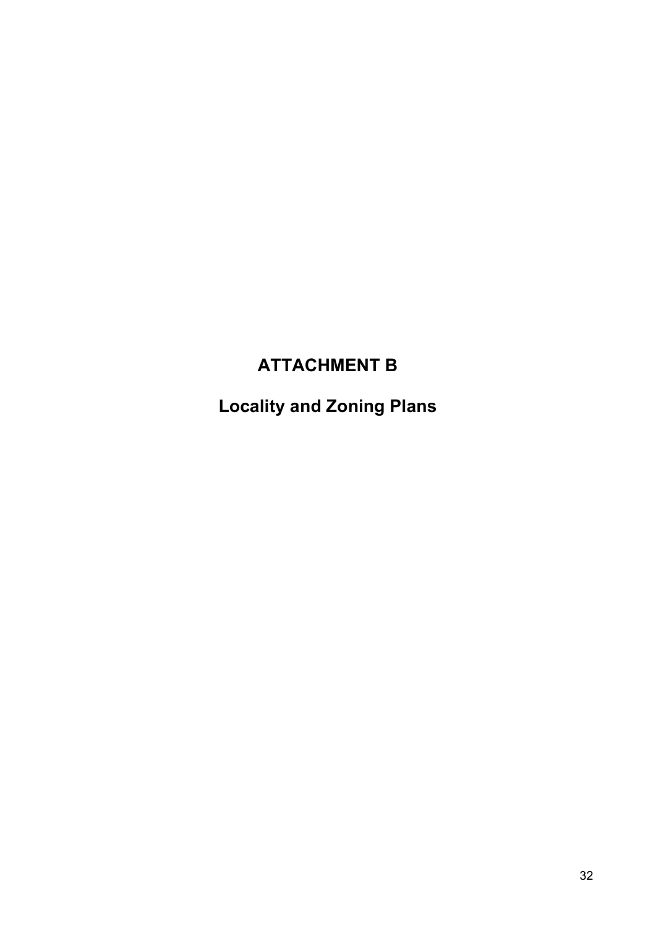# ATTACHMENT B

Locality and Zoning Plans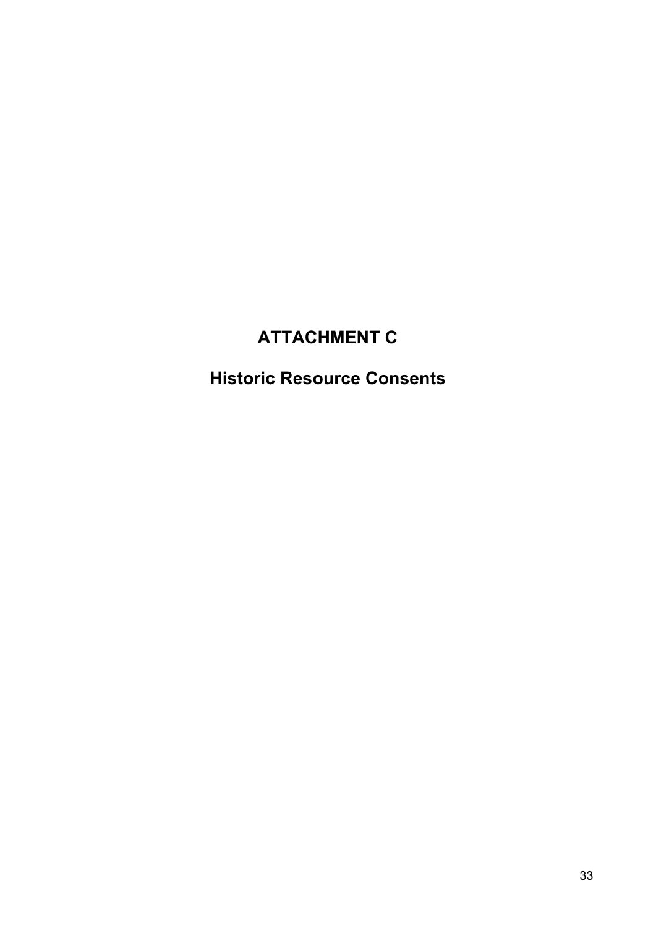# ATTACHMENT C

# Historic Resource Consents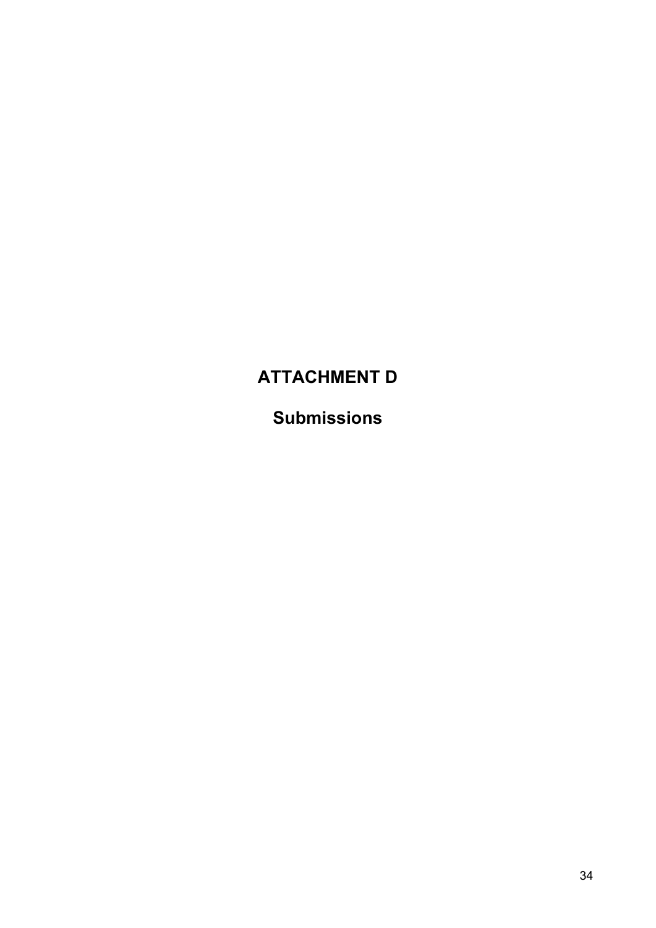# ATTACHMENT D

Submissions